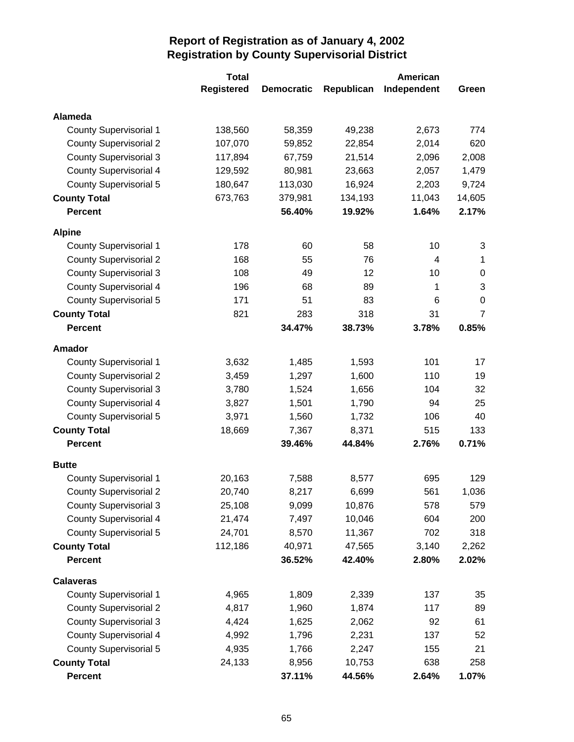|                               | <b>Total</b>      |                   |            | <b>American</b> |                |
|-------------------------------|-------------------|-------------------|------------|-----------------|----------------|
|                               | <b>Registered</b> | <b>Democratic</b> | Republican | Independent     | Green          |
| Alameda                       |                   |                   |            |                 |                |
| <b>County Supervisorial 1</b> | 138,560           | 58,359            | 49,238     | 2,673           | 774            |
| <b>County Supervisorial 2</b> | 107,070           | 59,852            | 22,854     | 2,014           | 620            |
| <b>County Supervisorial 3</b> | 117,894           | 67,759            | 21,514     | 2,096           | 2,008          |
| <b>County Supervisorial 4</b> | 129,592           | 80,981            | 23,663     | 2,057           | 1,479          |
| <b>County Supervisorial 5</b> | 180,647           | 113,030           | 16,924     | 2,203           | 9,724          |
| <b>County Total</b>           | 673,763           | 379,981           | 134,193    | 11,043          | 14,605         |
| <b>Percent</b>                |                   | 56.40%            | 19.92%     | 1.64%           | 2.17%          |
| <b>Alpine</b>                 |                   |                   |            |                 |                |
| <b>County Supervisorial 1</b> | 178               | 60                | 58         | 10              | 3              |
| <b>County Supervisorial 2</b> | 168               | 55                | 76         | 4               | 1              |
| <b>County Supervisorial 3</b> | 108               | 49                | 12         | 10              | $\pmb{0}$      |
| <b>County Supervisorial 4</b> | 196               | 68                | 89         | 1               | 3              |
| County Supervisorial 5        | 171               | 51                | 83         | 6               | $\mathbf 0$    |
| <b>County Total</b>           | 821               | 283               | 318        | 31              | $\overline{7}$ |
| <b>Percent</b>                |                   | 34.47%            | 38.73%     | 3.78%           | 0.85%          |
| <b>Amador</b>                 |                   |                   |            |                 |                |
| <b>County Supervisorial 1</b> | 3,632             | 1,485             | 1,593      | 101             | 17             |
| <b>County Supervisorial 2</b> | 3,459             | 1,297             | 1,600      | 110             | 19             |
| <b>County Supervisorial 3</b> | 3,780             | 1,524             | 1,656      | 104             | 32             |
| <b>County Supervisorial 4</b> | 3,827             | 1,501             | 1,790      | 94              | 25             |
| <b>County Supervisorial 5</b> | 3,971             | 1,560             | 1,732      | 106             | 40             |
| <b>County Total</b>           | 18,669            | 7,367             | 8,371      | 515             | 133            |
| <b>Percent</b>                |                   | 39.46%            | 44.84%     | 2.76%           | 0.71%          |
| <b>Butte</b>                  |                   |                   |            |                 |                |
| <b>County Supervisorial 1</b> | 20,163            | 7,588             | 8,577      | 695             | 129            |
| <b>County Supervisorial 2</b> | 20,740            | 8,217             | 6,699      | 561             | 1,036          |
| <b>County Supervisorial 3</b> | 25,108            | 9,099             | 10,876     | 578             | 579            |
| <b>County Supervisorial 4</b> | 21,474            | 7,497             | 10,046     | 604             | 200            |
| County Supervisorial 5        | 24,701            | 8,570             | 11,367     | 702             | 318            |
| <b>County Total</b>           | 112,186           | 40,971            | 47,565     | 3,140           | 2,262          |
| <b>Percent</b>                |                   | 36.52%            | 42.40%     | 2.80%           | 2.02%          |
| <b>Calaveras</b>              |                   |                   |            |                 |                |
| <b>County Supervisorial 1</b> | 4,965             | 1,809             | 2,339      | 137             | 35             |
| <b>County Supervisorial 2</b> | 4,817             | 1,960             | 1,874      | 117             | 89             |
| <b>County Supervisorial 3</b> | 4,424             | 1,625             | 2,062      | 92              | 61             |
| <b>County Supervisorial 4</b> | 4,992             | 1,796             | 2,231      | 137             | 52             |
| <b>County Supervisorial 5</b> | 4,935             | 1,766             | 2,247      | 155             | 21             |
| <b>County Total</b>           | 24,133            | 8,956             | 10,753     | 638             | 258            |
| <b>Percent</b>                |                   | 37.11%            | 44.56%     | 2.64%           | 1.07%          |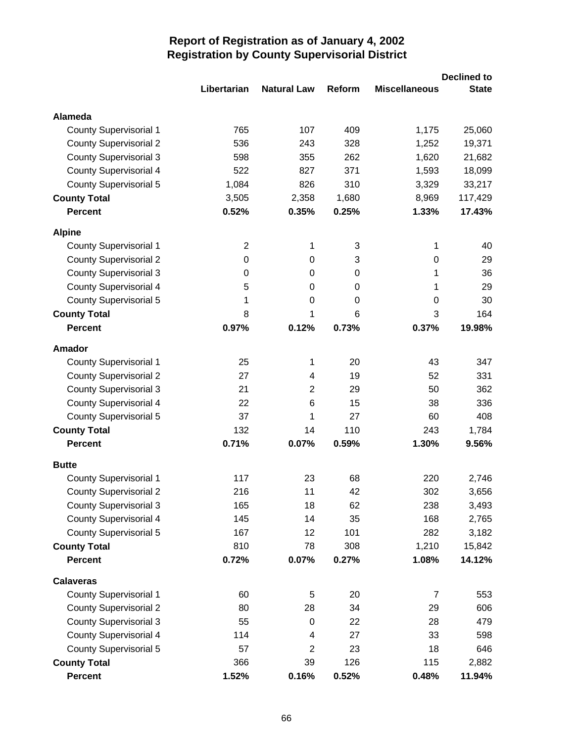|                               |                |                    |               |                      | <b>Declined to</b> |
|-------------------------------|----------------|--------------------|---------------|----------------------|--------------------|
|                               | Libertarian    | <b>Natural Law</b> | <b>Reform</b> | <b>Miscellaneous</b> | <b>State</b>       |
| <b>Alameda</b>                |                |                    |               |                      |                    |
| <b>County Supervisorial 1</b> | 765            | 107                | 409           | 1,175                | 25,060             |
| <b>County Supervisorial 2</b> | 536            | 243                | 328           | 1,252                | 19,371             |
| <b>County Supervisorial 3</b> | 598            | 355                | 262           | 1,620                | 21,682             |
| <b>County Supervisorial 4</b> | 522            | 827                | 371           | 1,593                | 18,099             |
| <b>County Supervisorial 5</b> | 1,084          | 826                | 310           | 3,329                | 33,217             |
| <b>County Total</b>           | 3,505          | 2,358              | 1,680         | 8,969                | 117,429            |
| <b>Percent</b>                | 0.52%          | 0.35%              | 0.25%         | 1.33%                | 17.43%             |
| <b>Alpine</b>                 |                |                    |               |                      |                    |
| <b>County Supervisorial 1</b> | $\overline{2}$ | 1                  | 3             | 1                    | 40                 |
| <b>County Supervisorial 2</b> | 0              | 0                  | 3             | 0                    | 29                 |
| <b>County Supervisorial 3</b> | 0              | 0                  | $\Omega$      | 1                    | 36                 |
| <b>County Supervisorial 4</b> | 5              | 0                  | 0             | 1                    | 29                 |
| <b>County Supervisorial 5</b> | 1              | $\Omega$           | $\Omega$      | 0                    | 30                 |
| <b>County Total</b>           | 8              | 1                  | 6             | 3                    | 164                |
| <b>Percent</b>                | 0.97%          | 0.12%              | 0.73%         | 0.37%                | 19.98%             |
| Amador                        |                |                    |               |                      |                    |
| <b>County Supervisorial 1</b> | 25             | 1                  | 20            | 43                   | 347                |
| <b>County Supervisorial 2</b> | 27             | 4                  | 19            | 52                   | 331                |
| <b>County Supervisorial 3</b> | 21             | 2                  | 29            | 50                   | 362                |
| <b>County Supervisorial 4</b> | 22             | 6                  | 15            | 38                   | 336                |
| <b>County Supervisorial 5</b> | 37             | 1                  | 27            | 60                   | 408                |
| <b>County Total</b>           | 132            | 14                 | 110           | 243                  | 1,784              |
| <b>Percent</b>                | 0.71%          | 0.07%              | 0.59%         | 1.30%                | 9.56%              |
| <b>Butte</b>                  |                |                    |               |                      |                    |
| <b>County Supervisorial 1</b> | 117            | 23                 | 68            | 220                  | 2,746              |
| <b>County Supervisorial 2</b> | 216            | 11                 | 42            | 302                  | 3,656              |
| <b>County Supervisorial 3</b> | 165            | 18                 | 62            | 238                  | 3,493              |
| <b>County Supervisorial 4</b> | 145            | 14                 | 35            | 168                  | 2,765              |
| <b>County Supervisorial 5</b> | 167            | 12                 | 101           | 282                  | 3,182              |
| <b>County Total</b>           | 810            | 78                 | 308           | 1,210                | 15,842             |
| <b>Percent</b>                | 0.72%          | 0.07%              | 0.27%         | 1.08%                | 14.12%             |
| <b>Calaveras</b>              |                |                    |               |                      |                    |
| <b>County Supervisorial 1</b> | 60             | 5                  | 20            | 7                    | 553                |
| <b>County Supervisorial 2</b> | 80             | 28                 | 34            | 29                   | 606                |
| <b>County Supervisorial 3</b> | 55             | 0                  | 22            | 28                   | 479                |
| <b>County Supervisorial 4</b> | 114            | 4                  | 27            | 33                   | 598                |
| <b>County Supervisorial 5</b> | 57             | $\overline{2}$     | 23            | 18                   | 646                |
| <b>County Total</b>           | 366            | 39                 | 126           | 115                  | 2,882              |
| Percent                       | 1.52%          | 0.16%              | 0.52%         | 0.48%                | 11.94%             |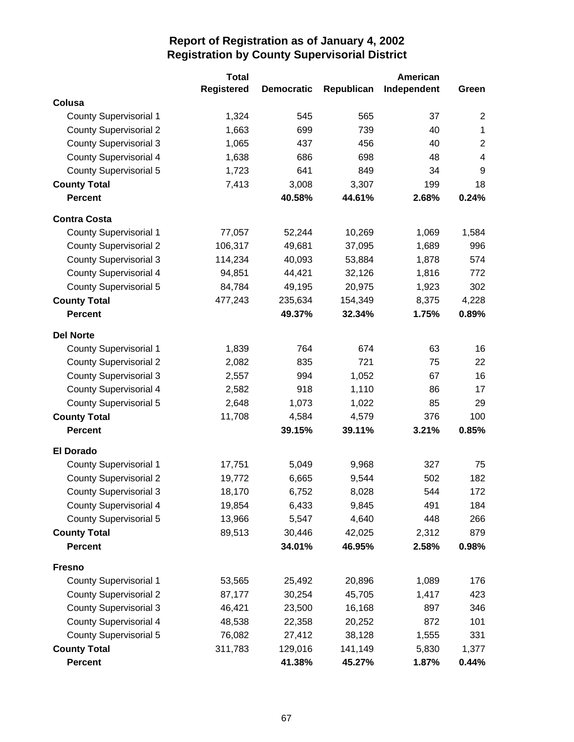|                               | <b>Total</b>      |                   |            | <b>American</b> |                         |
|-------------------------------|-------------------|-------------------|------------|-----------------|-------------------------|
|                               | <b>Registered</b> | <b>Democratic</b> | Republican | Independent     | Green                   |
| Colusa                        |                   |                   |            |                 |                         |
| <b>County Supervisorial 1</b> | 1,324             | 545               | 565        | 37              | $\overline{2}$          |
| <b>County Supervisorial 2</b> | 1,663             | 699               | 739        | 40              | $\mathbf{1}$            |
| <b>County Supervisorial 3</b> | 1,065             | 437               | 456        | 40              | $\overline{2}$          |
| <b>County Supervisorial 4</b> | 1,638             | 686               | 698        | 48              | $\overline{\mathbf{4}}$ |
| <b>County Supervisorial 5</b> | 1,723             | 641               | 849        | 34              | 9                       |
| <b>County Total</b>           | 7,413             | 3,008             | 3,307      | 199             | 18                      |
| <b>Percent</b>                |                   | 40.58%            | 44.61%     | 2.68%           | 0.24%                   |
| <b>Contra Costa</b>           |                   |                   |            |                 |                         |
| <b>County Supervisorial 1</b> | 77,057            | 52,244            | 10,269     | 1,069           | 1,584                   |
| <b>County Supervisorial 2</b> | 106,317           | 49,681            | 37,095     | 1,689           | 996                     |
| <b>County Supervisorial 3</b> | 114,234           | 40,093            | 53,884     | 1,878           | 574                     |
| <b>County Supervisorial 4</b> | 94,851            | 44,421            | 32,126     | 1,816           | 772                     |
| County Supervisorial 5        | 84,784            | 49,195            | 20,975     | 1,923           | 302                     |
| <b>County Total</b>           | 477,243           | 235,634           | 154,349    | 8,375           | 4,228                   |
| <b>Percent</b>                |                   | 49.37%            | 32.34%     | 1.75%           | 0.89%                   |
| <b>Del Norte</b>              |                   |                   |            |                 |                         |
| <b>County Supervisorial 1</b> | 1,839             | 764               | 674        | 63              | 16                      |
| <b>County Supervisorial 2</b> | 2,082             | 835               | 721        | 75              | 22                      |
| <b>County Supervisorial 3</b> | 2,557             | 994               | 1,052      | 67              | 16                      |
| <b>County Supervisorial 4</b> | 2,582             | 918               | 1,110      | 86              | 17                      |
| <b>County Supervisorial 5</b> | 2,648             | 1,073             | 1,022      | 85              | 29                      |
| <b>County Total</b>           | 11,708            | 4,584             | 4,579      | 376             | 100                     |
| <b>Percent</b>                |                   | 39.15%            | 39.11%     | 3.21%           | 0.85%                   |
| <b>El Dorado</b>              |                   |                   |            |                 |                         |
| <b>County Supervisorial 1</b> | 17,751            | 5,049             | 9,968      | 327             | 75                      |
| <b>County Supervisorial 2</b> | 19,772            | 6,665             | 9,544      | 502             | 182                     |
| <b>County Supervisorial 3</b> | 18,170            | 6,752             | 8,028      | 544             | 172                     |
| <b>County Supervisorial 4</b> | 19,854            | 6,433             | 9,845      | 491             | 184                     |
| <b>County Supervisorial 5</b> | 13,966            | 5,547             | 4,640      | 448             | 266                     |
| <b>County Total</b>           | 89,513            | 30,446            | 42,025     | 2,312           | 879                     |
| <b>Percent</b>                |                   | 34.01%            | 46.95%     | 2.58%           | 0.98%                   |
| <b>Fresno</b>                 |                   |                   |            |                 |                         |
| County Supervisorial 1        | 53,565            | 25,492            | 20,896     | 1,089           | 176                     |
| <b>County Supervisorial 2</b> | 87,177            | 30,254            | 45,705     | 1,417           | 423                     |
| <b>County Supervisorial 3</b> | 46,421            | 23,500            | 16,168     | 897             | 346                     |
| <b>County Supervisorial 4</b> | 48,538            | 22,358            | 20,252     | 872             | 101                     |
| County Supervisorial 5        | 76,082            | 27,412            | 38,128     | 1,555           | 331                     |
| <b>County Total</b>           | 311,783           | 129,016           | 141,149    | 5,830           | 1,377                   |
| <b>Percent</b>                |                   | 41.38%            | 45.27%     | 1.87%           | 0.44%                   |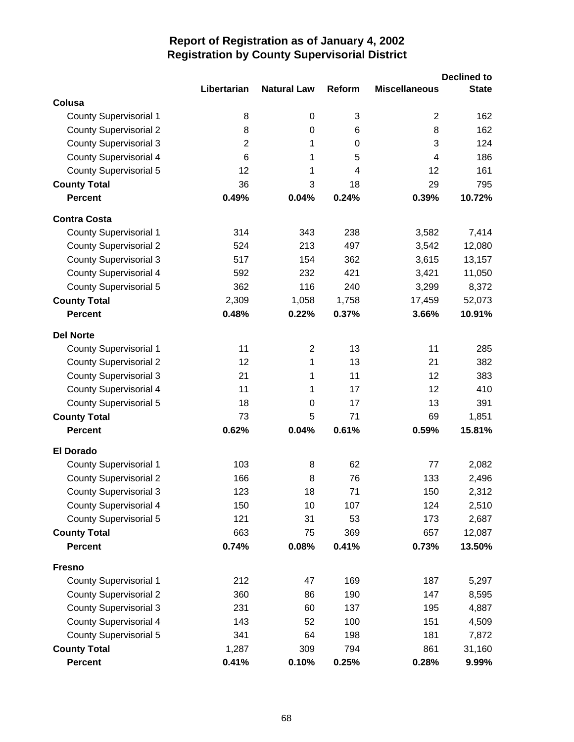|                               |                |                    |                |                      | <b>Declined to</b> |
|-------------------------------|----------------|--------------------|----------------|----------------------|--------------------|
|                               | Libertarian    | <b>Natural Law</b> | Reform         | <b>Miscellaneous</b> | <b>State</b>       |
| Colusa                        |                |                    |                |                      |                    |
| <b>County Supervisorial 1</b> | 8              | 0                  | 3              | $\overline{2}$       | 162                |
| <b>County Supervisorial 2</b> | 8              | $\boldsymbol{0}$   | 6              | 8                    | 162                |
| <b>County Supervisorial 3</b> | $\overline{2}$ | 1                  | 0              | 3                    | 124                |
| <b>County Supervisorial 4</b> | 6              | 1                  | 5              | 4                    | 186                |
| <b>County Supervisorial 5</b> | 12             | 1                  | $\overline{4}$ | 12                   | 161                |
| <b>County Total</b>           | 36             | 3                  | 18             | 29                   | 795                |
| <b>Percent</b>                | 0.49%          | 0.04%              | 0.24%          | 0.39%                | 10.72%             |
| <b>Contra Costa</b>           |                |                    |                |                      |                    |
| <b>County Supervisorial 1</b> | 314            | 343                | 238            | 3,582                | 7,414              |
| <b>County Supervisorial 2</b> | 524            | 213                | 497            | 3,542                | 12,080             |
| <b>County Supervisorial 3</b> | 517            | 154                | 362            | 3,615                | 13,157             |
| <b>County Supervisorial 4</b> | 592            | 232                | 421            | 3,421                | 11,050             |
| <b>County Supervisorial 5</b> | 362            | 116                | 240            | 3,299                | 8,372              |
| <b>County Total</b>           | 2,309          | 1,058              | 1,758          | 17,459               | 52,073             |
| <b>Percent</b>                | 0.48%          | 0.22%              | 0.37%          | 3.66%                | 10.91%             |
| <b>Del Norte</b>              |                |                    |                |                      |                    |
| <b>County Supervisorial 1</b> | 11             | $\overline{2}$     | 13             | 11                   | 285                |
| <b>County Supervisorial 2</b> | 12             | 1                  | 13             | 21                   | 382                |
| <b>County Supervisorial 3</b> | 21             | 1                  | 11             | 12                   | 383                |
| <b>County Supervisorial 4</b> | 11             | 1                  | 17             | 12                   | 410                |
| County Supervisorial 5        | 18             | 0                  | 17             | 13                   | 391                |
| <b>County Total</b>           | 73             | 5                  | 71             | 69                   | 1,851              |
| <b>Percent</b>                | 0.62%          | 0.04%              | 0.61%          | 0.59%                | 15.81%             |
| <b>El Dorado</b>              |                |                    |                |                      |                    |
| <b>County Supervisorial 1</b> | 103            | 8                  | 62             | 77                   | 2,082              |
| <b>County Supervisorial 2</b> | 166            | 8                  | 76             | 133                  | 2,496              |
| <b>County Supervisorial 3</b> | 123            | 18                 | 71             | 150                  | 2,312              |
| <b>County Supervisorial 4</b> | 150            | 10                 | 107            | 124                  | 2,510              |
| <b>County Supervisorial 5</b> | 121            | 31                 | 53             | 173                  | 2,687              |
| <b>County Total</b>           | 663            | 75                 | 369            | 657                  | 12,087             |
| <b>Percent</b>                | 0.74%          | 0.08%              | 0.41%          | 0.73%                | 13.50%             |
| <b>Fresno</b>                 |                |                    |                |                      |                    |
| <b>County Supervisorial 1</b> | 212            | 47                 | 169            | 187                  | 5,297              |
| <b>County Supervisorial 2</b> | 360            | 86                 | 190            | 147                  | 8,595              |
| <b>County Supervisorial 3</b> | 231            | 60                 | 137            | 195                  | 4,887              |
| <b>County Supervisorial 4</b> | 143            | 52                 | 100            | 151                  | 4,509              |
| <b>County Supervisorial 5</b> | 341            | 64                 | 198            | 181                  | 7,872              |
| <b>County Total</b>           | 1,287          | 309                | 794            | 861                  | 31,160             |
| <b>Percent</b>                | 0.41%          | 0.10%              | 0.25%          | 0.28%                | 9.99%              |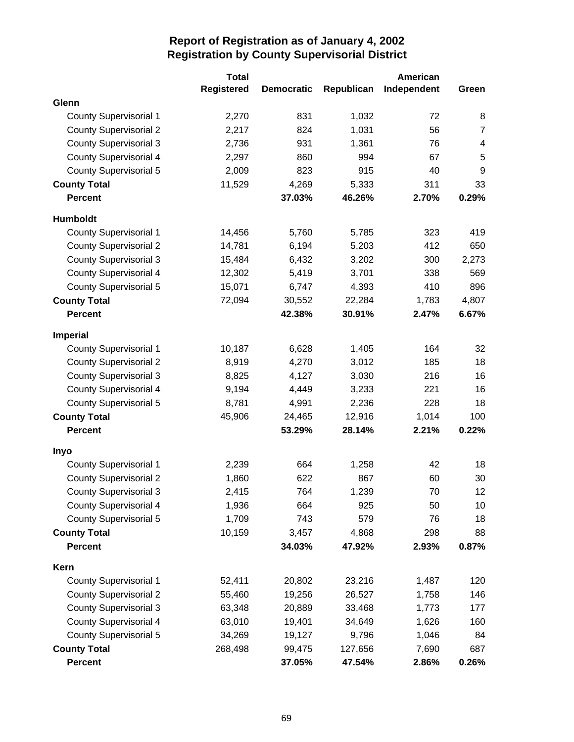|                               | <b>Total</b>      |                   |            | American    |                         |
|-------------------------------|-------------------|-------------------|------------|-------------|-------------------------|
|                               | <b>Registered</b> | <b>Democratic</b> | Republican | Independent | Green                   |
| Glenn                         |                   |                   |            |             |                         |
| <b>County Supervisorial 1</b> | 2,270             | 831               | 1,032      | 72          | 8                       |
| <b>County Supervisorial 2</b> | 2,217             | 824               | 1,031      | 56          | $\overline{7}$          |
| <b>County Supervisorial 3</b> | 2,736             | 931               | 1,361      | 76          | $\overline{\mathbf{4}}$ |
| <b>County Supervisorial 4</b> | 2,297             | 860               | 994        | 67          | 5                       |
| <b>County Supervisorial 5</b> | 2,009             | 823               | 915        | 40          | 9                       |
| <b>County Total</b>           | 11,529            | 4,269             | 5,333      | 311         | 33                      |
| <b>Percent</b>                |                   | 37.03%            | 46.26%     | 2.70%       | 0.29%                   |
| Humboldt                      |                   |                   |            |             |                         |
| <b>County Supervisorial 1</b> | 14,456            | 5,760             | 5,785      | 323         | 419                     |
| <b>County Supervisorial 2</b> | 14,781            | 6,194             | 5,203      | 412         | 650                     |
| <b>County Supervisorial 3</b> | 15,484            | 6,432             | 3,202      | 300         | 2,273                   |
| <b>County Supervisorial 4</b> | 12,302            | 5,419             | 3,701      | 338         | 569                     |
| County Supervisorial 5        | 15,071            | 6,747             | 4,393      | 410         | 896                     |
| <b>County Total</b>           | 72,094            | 30,552            | 22,284     | 1,783       | 4,807                   |
| <b>Percent</b>                |                   | 42.38%            | 30.91%     | 2.47%       | 6.67%                   |
| Imperial                      |                   |                   |            |             |                         |
| <b>County Supervisorial 1</b> | 10,187            | 6,628             | 1,405      | 164         | 32                      |
| <b>County Supervisorial 2</b> | 8,919             | 4,270             | 3,012      | 185         | 18                      |
| <b>County Supervisorial 3</b> | 8,825             | 4,127             | 3,030      | 216         | 16                      |
| <b>County Supervisorial 4</b> | 9,194             | 4,449             | 3,233      | 221         | 16                      |
| <b>County Supervisorial 5</b> | 8,781             | 4,991             | 2,236      | 228         | 18                      |
| <b>County Total</b>           | 45,906            | 24,465            | 12,916     | 1,014       | 100                     |
| <b>Percent</b>                |                   | 53.29%            | 28.14%     | 2.21%       | 0.22%                   |
| Inyo                          |                   |                   |            |             |                         |
| <b>County Supervisorial 1</b> | 2,239             | 664               | 1,258      | 42          | 18                      |
| <b>County Supervisorial 2</b> | 1,860             | 622               | 867        | 60          | 30                      |
| <b>County Supervisorial 3</b> | 2,415             | 764               | 1,239      | 70          | 12                      |
| <b>County Supervisorial 4</b> | 1,936             | 664               | 925        | 50          | 10                      |
| County Supervisorial 5        | 1,709             | 743               | 579        | 76          | 18                      |
| <b>County Total</b>           | 10,159            | 3,457             | 4,868      | 298         | 88                      |
| <b>Percent</b>                |                   | 34.03%            | 47.92%     | 2.93%       | 0.87%                   |
| Kern                          |                   |                   |            |             |                         |
| County Supervisorial 1        | 52,411            | 20,802            | 23,216     | 1,487       | 120                     |
| <b>County Supervisorial 2</b> | 55,460            | 19,256            | 26,527     | 1,758       | 146                     |
| <b>County Supervisorial 3</b> | 63,348            | 20,889            | 33,468     | 1,773       | 177                     |
| County Supervisorial 4        | 63,010            | 19,401            | 34,649     | 1,626       | 160                     |
| County Supervisorial 5        | 34,269            | 19,127            | 9,796      | 1,046       | 84                      |
| <b>County Total</b>           | 268,498           | 99,475            | 127,656    | 7,690       | 687                     |
| <b>Percent</b>                |                   | 37.05%            | 47.54%     | 2.86%       | 0.26%                   |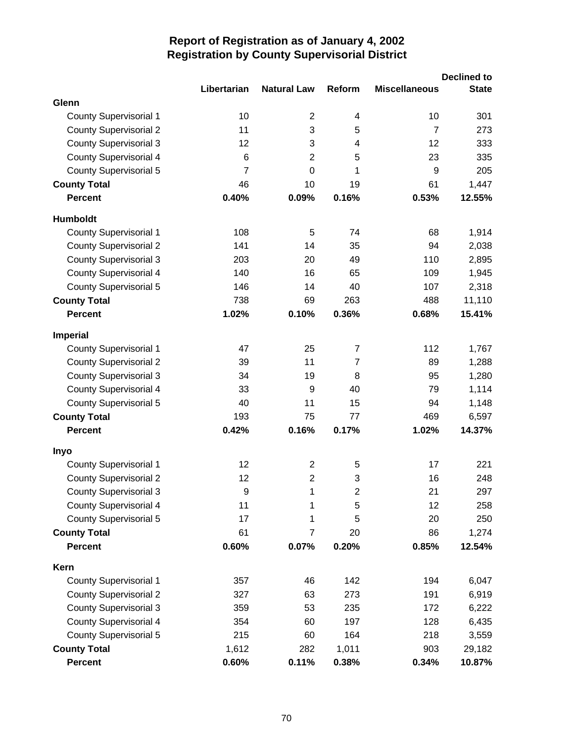|                               | Libertarian    | <b>Natural Law</b> | Reform         | <b>Miscellaneous</b> | <b>Declined to</b><br><b>State</b> |
|-------------------------------|----------------|--------------------|----------------|----------------------|------------------------------------|
| Glenn                         |                |                    |                |                      |                                    |
| <b>County Supervisorial 1</b> | 10             | $\overline{2}$     | 4              | 10                   | 301                                |
| <b>County Supervisorial 2</b> | 11             | 3                  | 5              | 7                    | 273                                |
| <b>County Supervisorial 3</b> | 12             | 3                  | 4              | 12                   | 333                                |
| <b>County Supervisorial 4</b> | 6              | $\overline{2}$     | 5              | 23                   | 335                                |
| <b>County Supervisorial 5</b> | $\overline{7}$ | $\overline{0}$     | 1              | 9                    | 205                                |
| <b>County Total</b>           | 46             | 10                 | 19             | 61                   | 1,447                              |
| <b>Percent</b>                | 0.40%          | 0.09%              | 0.16%          | 0.53%                | 12.55%                             |
| <b>Humboldt</b>               |                |                    |                |                      |                                    |
| <b>County Supervisorial 1</b> | 108            | 5                  | 74             | 68                   | 1,914                              |
| <b>County Supervisorial 2</b> | 141            | 14                 | 35             | 94                   | 2,038                              |
| <b>County Supervisorial 3</b> | 203            | 20                 | 49             | 110                  | 2,895                              |
| <b>County Supervisorial 4</b> | 140            | 16                 | 65             | 109                  | 1,945                              |
| <b>County Supervisorial 5</b> | 146            | 14                 | 40             | 107                  | 2,318                              |
| <b>County Total</b>           | 738            | 69                 | 263            | 488                  | 11,110                             |
| <b>Percent</b>                | 1.02%          | 0.10%              | 0.36%          | 0.68%                | 15.41%                             |
| Imperial                      |                |                    |                |                      |                                    |
| <b>County Supervisorial 1</b> | 47             | 25                 | $\overline{7}$ | 112                  | 1,767                              |
| <b>County Supervisorial 2</b> | 39             | 11                 | $\overline{7}$ | 89                   | 1,288                              |
| <b>County Supervisorial 3</b> | 34             | 19                 | 8              | 95                   | 1,280                              |
| <b>County Supervisorial 4</b> | 33             | 9                  | 40             | 79                   | 1,114                              |
| <b>County Supervisorial 5</b> | 40             | 11                 | 15             | 94                   | 1,148                              |
| <b>County Total</b>           | 193            | 75                 | 77             | 469                  | 6,597                              |
| <b>Percent</b>                | 0.42%          | 0.16%              | 0.17%          | 1.02%                | 14.37%                             |
| <b>Inyo</b>                   |                |                    |                |                      |                                    |
| <b>County Supervisorial 1</b> | 12             | $\overline{2}$     | 5              | 17                   | 221                                |
| <b>County Supervisorial 2</b> | 12             | $\overline{2}$     | 3              | 16                   | 248                                |
| <b>County Supervisorial 3</b> | 9              | 1                  | $\overline{c}$ | 21                   | 297                                |
| <b>County Supervisorial 4</b> | 11             | 1                  | 5              | 12                   | 258                                |
| <b>County Supervisorial 5</b> | 17             | 1                  | 5              | 20                   | 250                                |
| <b>County Total</b>           | 61             | $\overline{7}$     | 20             | 86                   | 1,274                              |
| <b>Percent</b>                | 0.60%          | 0.07%              | 0.20%          | 0.85%                | 12.54%                             |
| Kern                          |                |                    |                |                      |                                    |
| <b>County Supervisorial 1</b> | 357            | 46                 | 142            | 194                  | 6,047                              |
| <b>County Supervisorial 2</b> | 327            | 63                 | 273            | 191                  | 6,919                              |
| <b>County Supervisorial 3</b> | 359            | 53                 | 235            | 172                  | 6,222                              |
| <b>County Supervisorial 4</b> | 354            | 60                 | 197            | 128                  | 6,435                              |
| County Supervisorial 5        | 215            | 60                 | 164            | 218                  | 3,559                              |
| <b>County Total</b>           | 1,612          | 282                | 1,011          | 903                  | 29,182                             |
| Percent                       | 0.60%          | 0.11%              | 0.38%          | 0.34%                | 10.87%                             |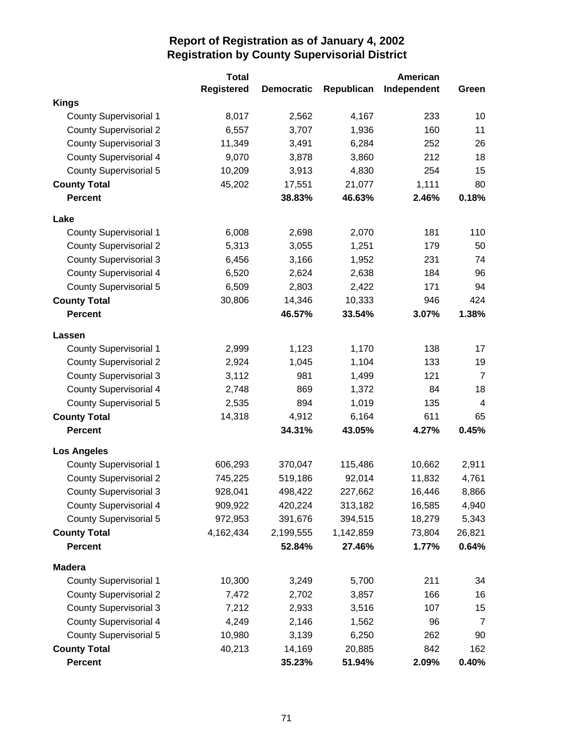|                               | <b>Total</b>      |                   |            | American    |                |
|-------------------------------|-------------------|-------------------|------------|-------------|----------------|
|                               | <b>Registered</b> | <b>Democratic</b> | Republican | Independent | Green          |
| <b>Kings</b>                  |                   |                   |            |             |                |
| <b>County Supervisorial 1</b> | 8,017             | 2,562             | 4,167      | 233         | 10             |
| <b>County Supervisorial 2</b> | 6,557             | 3,707             | 1,936      | 160         | 11             |
| <b>County Supervisorial 3</b> | 11,349            | 3,491             | 6,284      | 252         | 26             |
| <b>County Supervisorial 4</b> | 9,070             | 3,878             | 3,860      | 212         | 18             |
| <b>County Supervisorial 5</b> | 10,209            | 3,913             | 4,830      | 254         | 15             |
| <b>County Total</b>           | 45,202            | 17,551            | 21,077     | 1,111       | 80             |
| <b>Percent</b>                |                   | 38.83%            | 46.63%     | 2.46%       | 0.18%          |
| Lake                          |                   |                   |            |             |                |
| <b>County Supervisorial 1</b> | 6,008             | 2,698             | 2,070      | 181         | 110            |
| <b>County Supervisorial 2</b> | 5,313             | 3,055             | 1,251      | 179         | 50             |
| <b>County Supervisorial 3</b> | 6,456             | 3,166             | 1,952      | 231         | 74             |
| <b>County Supervisorial 4</b> | 6,520             | 2,624             | 2,638      | 184         | 96             |
| <b>County Supervisorial 5</b> | 6,509             | 2,803             | 2,422      | 171         | 94             |
| <b>County Total</b>           | 30,806            | 14,346            | 10,333     | 946         | 424            |
| <b>Percent</b>                |                   | 46.57%            | 33.54%     | 3.07%       | 1.38%          |
| Lassen                        |                   |                   |            |             |                |
| <b>County Supervisorial 1</b> | 2,999             | 1,123             | 1,170      | 138         | 17             |
| <b>County Supervisorial 2</b> | 2,924             | 1,045             | 1,104      | 133         | 19             |
| <b>County Supervisorial 3</b> | 3,112             | 981               | 1,499      | 121         | $\overline{7}$ |
| <b>County Supervisorial 4</b> | 2,748             | 869               | 1,372      | 84          | 18             |
| <b>County Supervisorial 5</b> | 2,535             | 894               | 1,019      | 135         | 4              |
| <b>County Total</b>           | 14,318            | 4,912             | 6,164      | 611         | 65             |
| <b>Percent</b>                |                   | 34.31%            | 43.05%     | 4.27%       | 0.45%          |
| <b>Los Angeles</b>            |                   |                   |            |             |                |
| County Supervisorial 1        | 606,293           | 370,047           | 115,486    | 10,662      | 2,911          |
| <b>County Supervisorial 2</b> | 745,225           | 519,186           | 92,014     | 11,832      | 4,761          |
| <b>County Supervisorial 3</b> | 928,041           | 498,422           | 227,662    | 16,446      | 8,866          |
| <b>County Supervisorial 4</b> | 909,922           | 420,224           | 313,182    | 16,585      | 4,940          |
| <b>County Supervisorial 5</b> | 972,953           | 391,676           | 394,515    | 18,279      | 5,343          |
| <b>County Total</b>           | 4,162,434         | 2,199,555         | 1,142,859  | 73,804      | 26,821         |
| <b>Percent</b>                |                   | 52.84%            | 27.46%     | 1.77%       | 0.64%          |
| <b>Madera</b>                 |                   |                   |            |             |                |
| <b>County Supervisorial 1</b> | 10,300            | 3,249             | 5,700      | 211         | 34             |
| <b>County Supervisorial 2</b> | 7,472             | 2,702             | 3,857      | 166         | 16             |
| <b>County Supervisorial 3</b> | 7,212             | 2,933             | 3,516      | 107         | 15             |
| <b>County Supervisorial 4</b> | 4,249             | 2,146             | 1,562      | 96          | $\overline{7}$ |
| <b>County Supervisorial 5</b> | 10,980            | 3,139             | 6,250      | 262         | 90             |
| <b>County Total</b>           | 40,213            | 14,169            | 20,885     | 842         | 162            |
| <b>Percent</b>                |                   | 35.23%            | 51.94%     | 2.09%       | 0.40%          |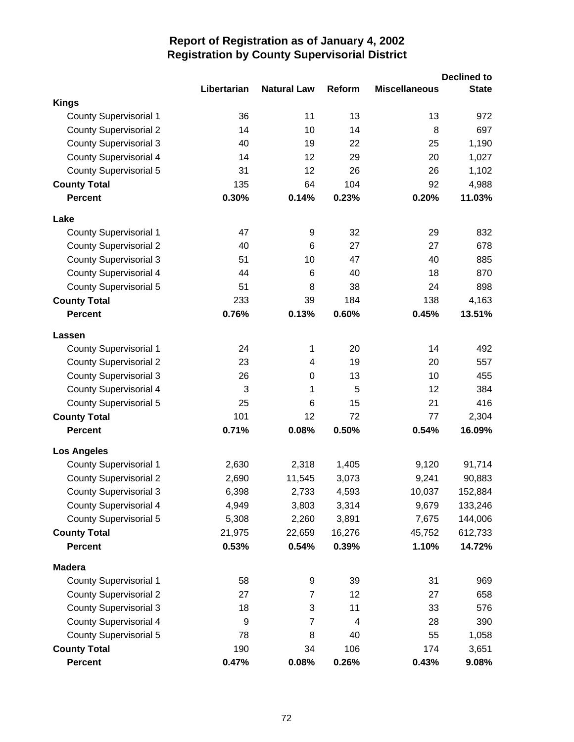|                               | Libertarian | <b>Natural Law</b> | Reform | <b>Miscellaneous</b> | <b>Declined to</b><br><b>State</b> |
|-------------------------------|-------------|--------------------|--------|----------------------|------------------------------------|
| <b>Kings</b>                  |             |                    |        |                      |                                    |
| <b>County Supervisorial 1</b> | 36          | 11                 | 13     | 13                   | 972                                |
| <b>County Supervisorial 2</b> | 14          | 10                 | 14     | 8                    | 697                                |
| <b>County Supervisorial 3</b> | 40          | 19                 | 22     | 25                   | 1,190                              |
| <b>County Supervisorial 4</b> | 14          | 12                 | 29     | 20                   | 1,027                              |
| County Supervisorial 5        | 31          | 12                 | 26     | 26                   | 1,102                              |
| <b>County Total</b>           | 135         | 64                 | 104    | 92                   | 4,988                              |
| <b>Percent</b>                | 0.30%       | 0.14%              | 0.23%  | 0.20%                | 11.03%                             |
| Lake                          |             |                    |        |                      |                                    |
| <b>County Supervisorial 1</b> | 47          | 9                  | 32     | 29                   | 832                                |
| <b>County Supervisorial 2</b> | 40          | 6                  | 27     | 27                   | 678                                |
| <b>County Supervisorial 3</b> | 51          | 10                 | 47     | 40                   | 885                                |
| <b>County Supervisorial 4</b> | 44          | 6                  | 40     | 18                   | 870                                |
| <b>County Supervisorial 5</b> | 51          | 8                  | 38     | 24                   | 898                                |
| <b>County Total</b>           | 233         | 39                 | 184    | 138                  | 4,163                              |
| <b>Percent</b>                | 0.76%       | 0.13%              | 0.60%  | 0.45%                | 13.51%                             |
| Lassen                        |             |                    |        |                      |                                    |
| <b>County Supervisorial 1</b> | 24          | 1                  | 20     | 14                   | 492                                |
| <b>County Supervisorial 2</b> | 23          | 4                  | 19     | 20                   | 557                                |
| <b>County Supervisorial 3</b> | 26          | 0                  | 13     | 10                   | 455                                |
| <b>County Supervisorial 4</b> | 3           | 1                  | 5      | 12                   | 384                                |
| <b>County Supervisorial 5</b> | 25          | 6                  | 15     | 21                   | 416                                |
| <b>County Total</b>           | 101         | 12                 | 72     | 77                   | 2,304                              |
| <b>Percent</b>                | 0.71%       | 0.08%              | 0.50%  | 0.54%                | 16.09%                             |
| <b>Los Angeles</b>            |             |                    |        |                      |                                    |
| <b>County Supervisorial 1</b> | 2,630       | 2,318              | 1,405  | 9,120                | 91,714                             |
| <b>County Supervisorial 2</b> | 2,690       | 11,545             | 3,073  | 9,241                | 90,883                             |
| <b>County Supervisorial 3</b> | 6,398       | 2,733              | 4,593  | 10,037               | 152,884                            |
| <b>County Supervisorial 4</b> | 4,949       | 3,803              | 3,314  | 9,679                | 133,246                            |
| <b>County Supervisorial 5</b> | 5,308       | 2,260              | 3,891  | 7,675                | 144,006                            |
| <b>County Total</b>           | 21,975      | 22,659             | 16,276 | 45,752               | 612,733                            |
| <b>Percent</b>                | 0.53%       | 0.54%              | 0.39%  | 1.10%                | 14.72%                             |
| <b>Madera</b>                 |             |                    |        |                      |                                    |
| <b>County Supervisorial 1</b> | 58          | 9                  | 39     | 31                   | 969                                |
| <b>County Supervisorial 2</b> | 27          | 7                  | 12     | 27                   | 658                                |
| <b>County Supervisorial 3</b> | 18          | 3                  | 11     | 33                   | 576                                |
| <b>County Supervisorial 4</b> | 9           | $\overline{7}$     | 4      | 28                   | 390                                |
| County Supervisorial 5        | 78          | 8                  | 40     | 55                   | 1,058                              |
| <b>County Total</b>           | 190         | 34                 | 106    | 174                  | 3,651                              |
| <b>Percent</b>                | 0.47%       | 0.08%              | 0.26%  | 0.43%                | 9.08%                              |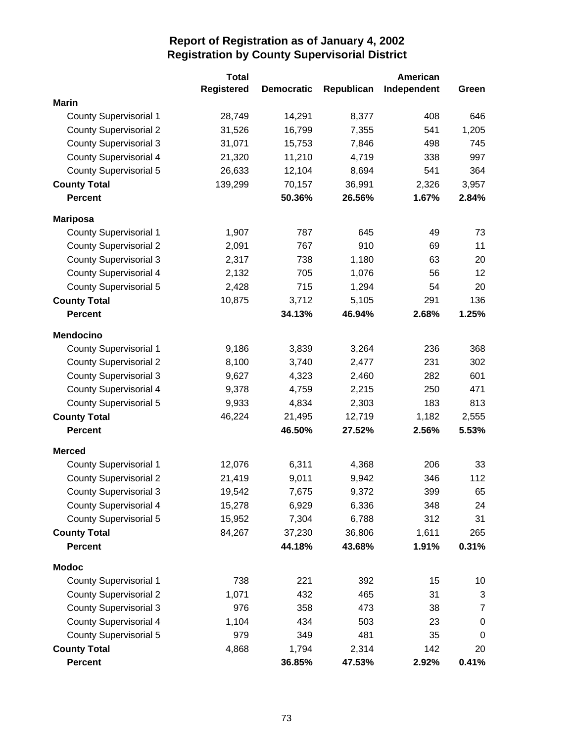|                               | <b>Total</b>      |                   |            | <b>American</b> |                |
|-------------------------------|-------------------|-------------------|------------|-----------------|----------------|
|                               | <b>Registered</b> | <b>Democratic</b> | Republican | Independent     | Green          |
| <b>Marin</b>                  |                   |                   |            |                 |                |
| <b>County Supervisorial 1</b> | 28,749            | 14,291            | 8,377      | 408             | 646            |
| <b>County Supervisorial 2</b> | 31,526            | 16,799            | 7,355      | 541             | 1,205          |
| <b>County Supervisorial 3</b> | 31,071            | 15,753            | 7,846      | 498             | 745            |
| <b>County Supervisorial 4</b> | 21,320            | 11,210            | 4,719      | 338             | 997            |
| <b>County Supervisorial 5</b> | 26,633            | 12,104            | 8,694      | 541             | 364            |
| <b>County Total</b>           | 139,299           | 70,157            | 36,991     | 2,326           | 3,957          |
| <b>Percent</b>                |                   | 50.36%            | 26.56%     | 1.67%           | 2.84%          |
| <b>Mariposa</b>               |                   |                   |            |                 |                |
| <b>County Supervisorial 1</b> | 1,907             | 787               | 645        | 49              | 73             |
| <b>County Supervisorial 2</b> | 2,091             | 767               | 910        | 69              | 11             |
| <b>County Supervisorial 3</b> | 2,317             | 738               | 1,180      | 63              | 20             |
| <b>County Supervisorial 4</b> | 2,132             | 705               | 1,076      | 56              | 12             |
| <b>County Supervisorial 5</b> | 2,428             | 715               | 1,294      | 54              | 20             |
| <b>County Total</b>           | 10,875            | 3,712             | 5,105      | 291             | 136            |
| <b>Percent</b>                |                   | 34.13%            | 46.94%     | 2.68%           | 1.25%          |
| <b>Mendocino</b>              |                   |                   |            |                 |                |
| <b>County Supervisorial 1</b> | 9,186             | 3,839             | 3,264      | 236             | 368            |
| <b>County Supervisorial 2</b> | 8,100             | 3,740             | 2,477      | 231             | 302            |
| <b>County Supervisorial 3</b> | 9,627             | 4,323             | 2,460      | 282             | 601            |
| <b>County Supervisorial 4</b> | 9,378             | 4,759             | 2,215      | 250             | 471            |
| <b>County Supervisorial 5</b> | 9,933             | 4,834             | 2,303      | 183             | 813            |
| <b>County Total</b>           | 46,224            | 21,495            | 12,719     | 1,182           | 2,555          |
| <b>Percent</b>                |                   | 46.50%            | 27.52%     | 2.56%           | 5.53%          |
| <b>Merced</b>                 |                   |                   |            |                 |                |
| <b>County Supervisorial 1</b> | 12,076            | 6,311             | 4,368      | 206             | 33             |
| <b>County Supervisorial 2</b> | 21,419            | 9,011             | 9,942      | 346             | 112            |
| <b>County Supervisorial 3</b> | 19,542            | 7,675             | 9,372      | 399             | 65             |
| <b>County Supervisorial 4</b> | 15,278            | 6,929             | 6,336      | 348             | 24             |
| <b>County Supervisorial 5</b> | 15,952            | 7,304             | 6,788      | 312             | 31             |
| <b>County Total</b>           | 84,267            | 37,230            | 36,806     | 1,611           | 265            |
| <b>Percent</b>                |                   | 44.18%            | 43.68%     | 1.91%           | 0.31%          |
| <b>Modoc</b>                  |                   |                   |            |                 |                |
| <b>County Supervisorial 1</b> | 738               | 221               | 392        | 15              | 10             |
| <b>County Supervisorial 2</b> | 1,071             | 432               | 465        | 31              | 3              |
| <b>County Supervisorial 3</b> | 976               | 358               | 473        | 38              | $\overline{7}$ |
| <b>County Supervisorial 4</b> | 1,104             | 434               | 503        | 23              | $\mathbf 0$    |
| <b>County Supervisorial 5</b> | 979               | 349               | 481        | 35              | 0              |
| <b>County Total</b>           | 4,868             | 1,794             | 2,314      | 142             | 20             |
| <b>Percent</b>                |                   | 36.85%            | 47.53%     | 2.92%           | 0.41%          |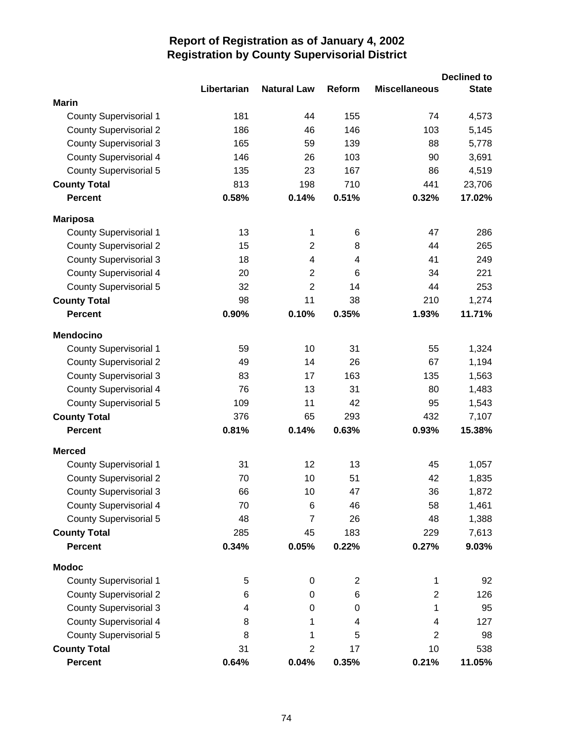|                               |             |                    |        |                      | <b>Declined to</b> |
|-------------------------------|-------------|--------------------|--------|----------------------|--------------------|
|                               | Libertarian | <b>Natural Law</b> | Reform | <b>Miscellaneous</b> | <b>State</b>       |
| <b>Marin</b>                  |             |                    |        |                      |                    |
| <b>County Supervisorial 1</b> | 181         | 44                 | 155    | 74                   | 4,573              |
| <b>County Supervisorial 2</b> | 186         | 46                 | 146    | 103                  | 5,145              |
| <b>County Supervisorial 3</b> | 165         | 59                 | 139    | 88                   | 5,778              |
| <b>County Supervisorial 4</b> | 146         | 26                 | 103    | 90                   | 3,691              |
| <b>County Supervisorial 5</b> | 135         | 23                 | 167    | 86                   | 4,519              |
| <b>County Total</b>           | 813         | 198                | 710    | 441                  | 23,706             |
| <b>Percent</b>                | 0.58%       | 0.14%              | 0.51%  | 0.32%                | 17.02%             |
| <b>Mariposa</b>               |             |                    |        |                      |                    |
| <b>County Supervisorial 1</b> | 13          | 1                  | 6      | 47                   | 286                |
| <b>County Supervisorial 2</b> | 15          | $\overline{2}$     | 8      | 44                   | 265                |
| <b>County Supervisorial 3</b> | 18          | 4                  | 4      | 41                   | 249                |
| <b>County Supervisorial 4</b> | 20          | $\overline{2}$     | 6      | 34                   | 221                |
| <b>County Supervisorial 5</b> | 32          | $\overline{2}$     | 14     | 44                   | 253                |
| <b>County Total</b>           | 98          | 11                 | 38     | 210                  | 1,274              |
| <b>Percent</b>                | 0.90%       | 0.10%              | 0.35%  | 1.93%                | 11.71%             |
| <b>Mendocino</b>              |             |                    |        |                      |                    |
| <b>County Supervisorial 1</b> | 59          | 10                 | 31     | 55                   | 1,324              |
| <b>County Supervisorial 2</b> | 49          | 14                 | 26     | 67                   | 1,194              |
| <b>County Supervisorial 3</b> | 83          | 17                 | 163    | 135                  | 1,563              |
| <b>County Supervisorial 4</b> | 76          | 13                 | 31     | 80                   | 1,483              |
| County Supervisorial 5        | 109         | 11                 | 42     | 95                   | 1,543              |
| <b>County Total</b>           | 376         | 65                 | 293    | 432                  | 7,107              |
| <b>Percent</b>                | 0.81%       | 0.14%              | 0.63%  | 0.93%                | 15.38%             |
| <b>Merced</b>                 |             |                    |        |                      |                    |
| <b>County Supervisorial 1</b> | 31          | 12                 | 13     | 45                   | 1,057              |
| <b>County Supervisorial 2</b> | 70          | 10                 | 51     | 42                   | 1,835              |
| <b>County Supervisorial 3</b> | 66          | 10                 | 47     | 36                   | 1,872              |
| <b>County Supervisorial 4</b> | 70          | 6                  | 46     | 58                   | 1,461              |
| <b>County Supervisorial 5</b> | 48          | $\overline{7}$     | 26     | 48                   | 1,388              |
| <b>County Total</b>           | 285         | 45                 | 183    | 229                  | 7,613              |
| <b>Percent</b>                | 0.34%       | 0.05%              | 0.22%  | 0.27%                | 9.03%              |
| <b>Modoc</b>                  |             |                    |        |                      |                    |
| <b>County Supervisorial 1</b> | 5           | 0                  | 2      | 1                    | 92                 |
| <b>County Supervisorial 2</b> | 6           | 0                  | 6      | $\overline{2}$       | 126                |
| <b>County Supervisorial 3</b> | 4           | 0                  | 0      | 1                    | 95                 |
| <b>County Supervisorial 4</b> | 8           | 1                  | 4      | 4                    | 127                |
| <b>County Supervisorial 5</b> | 8           | 1                  | 5      | $\overline{2}$       | 98                 |
| <b>County Total</b>           | 31          | 2                  | 17     | 10                   | 538                |
| <b>Percent</b>                | 0.64%       | 0.04%              | 0.35%  | 0.21%                | 11.05%             |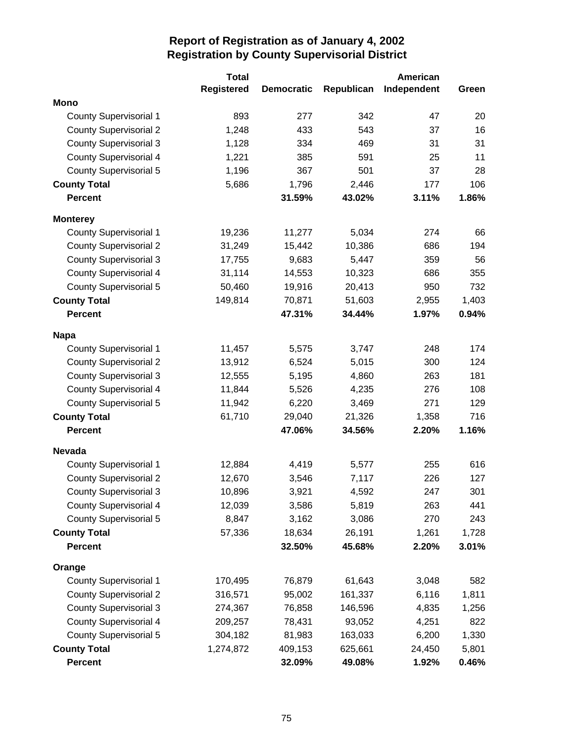|                               | <b>Total</b>      |                   |            | American    |       |
|-------------------------------|-------------------|-------------------|------------|-------------|-------|
|                               | <b>Registered</b> | <b>Democratic</b> | Republican | Independent | Green |
| <b>Mono</b>                   |                   |                   |            |             |       |
| <b>County Supervisorial 1</b> | 893               | 277               | 342        | 47          | 20    |
| <b>County Supervisorial 2</b> | 1,248             | 433               | 543        | 37          | 16    |
| <b>County Supervisorial 3</b> | 1,128             | 334               | 469        | 31          | 31    |
| County Supervisorial 4        | 1,221             | 385               | 591        | 25          | 11    |
| <b>County Supervisorial 5</b> | 1,196             | 367               | 501        | 37          | 28    |
| <b>County Total</b>           | 5,686             | 1,796             | 2,446      | 177         | 106   |
| <b>Percent</b>                |                   | 31.59%            | 43.02%     | 3.11%       | 1.86% |
| <b>Monterey</b>               |                   |                   |            |             |       |
| <b>County Supervisorial 1</b> | 19,236            | 11,277            | 5,034      | 274         | 66    |
| <b>County Supervisorial 2</b> | 31,249            | 15,442            | 10,386     | 686         | 194   |
| <b>County Supervisorial 3</b> | 17,755            | 9,683             | 5,447      | 359         | 56    |
| <b>County Supervisorial 4</b> | 31,114            | 14,553            | 10,323     | 686         | 355   |
| <b>County Supervisorial 5</b> | 50,460            | 19,916            | 20,413     | 950         | 732   |
| <b>County Total</b>           | 149,814           | 70,871            | 51,603     | 2,955       | 1,403 |
| <b>Percent</b>                |                   | 47.31%            | 34.44%     | 1.97%       | 0.94% |
| <b>Napa</b>                   |                   |                   |            |             |       |
| <b>County Supervisorial 1</b> | 11,457            | 5,575             | 3,747      | 248         | 174   |
| <b>County Supervisorial 2</b> | 13,912            | 6,524             | 5,015      | 300         | 124   |
| <b>County Supervisorial 3</b> | 12,555            | 5,195             | 4,860      | 263         | 181   |
| <b>County Supervisorial 4</b> | 11,844            | 5,526             | 4,235      | 276         | 108   |
| <b>County Supervisorial 5</b> | 11,942            | 6,220             | 3,469      | 271         | 129   |
| <b>County Total</b>           | 61,710            | 29,040            | 21,326     | 1,358       | 716   |
| <b>Percent</b>                |                   | 47.06%            | 34.56%     | 2.20%       | 1.16% |
| <b>Nevada</b>                 |                   |                   |            |             |       |
| <b>County Supervisorial 1</b> | 12,884            | 4,419             | 5,577      | 255         | 616   |
| <b>County Supervisorial 2</b> | 12,670            | 3,546             | 7,117      | 226         | 127   |
| <b>County Supervisorial 3</b> | 10,896            | 3,921             | 4,592      | 247         | 301   |
| <b>County Supervisorial 4</b> | 12,039            | 3,586             | 5,819      | 263         | 441   |
| <b>County Supervisorial 5</b> | 8,847             | 3,162             | 3,086      | 270         | 243   |
| <b>County Total</b>           | 57,336            | 18,634            | 26,191     | 1,261       | 1,728 |
| <b>Percent</b>                |                   | 32.50%            | 45.68%     | 2.20%       | 3.01% |
| Orange                        |                   |                   |            |             |       |
| County Supervisorial 1        | 170,495           | 76,879            | 61,643     | 3,048       | 582   |
| <b>County Supervisorial 2</b> | 316,571           | 95,002            | 161,337    | 6,116       | 1,811 |
| <b>County Supervisorial 3</b> | 274,367           | 76,858            | 146,596    | 4,835       | 1,256 |
| <b>County Supervisorial 4</b> | 209,257           | 78,431            | 93,052     | 4,251       | 822   |
| <b>County Supervisorial 5</b> | 304,182           | 81,983            | 163,033    | 6,200       | 1,330 |
| <b>County Total</b>           | 1,274,872         | 409,153           | 625,661    | 24,450      | 5,801 |
| <b>Percent</b>                |                   | 32.09%            | 49.08%     | 1.92%       | 0.46% |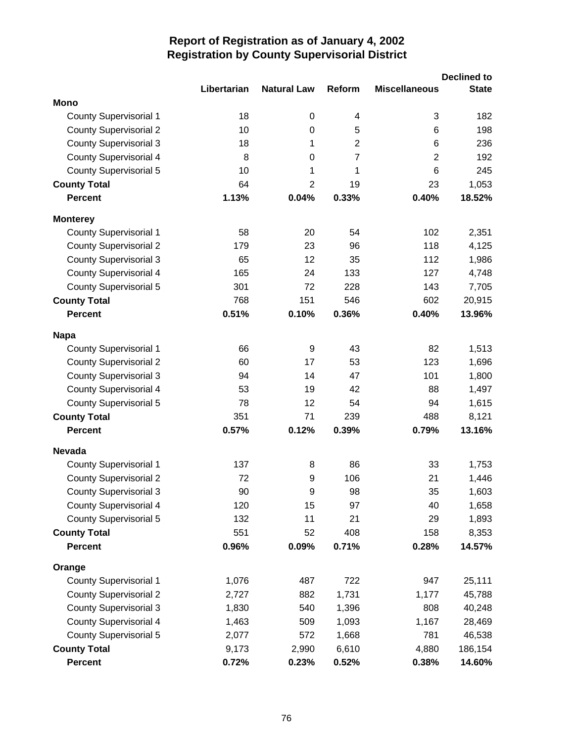|                               | Libertarian | <b>Natural Law</b> | Reform         | <b>Miscellaneous</b> | <b>Declined to</b><br><b>State</b> |
|-------------------------------|-------------|--------------------|----------------|----------------------|------------------------------------|
| <b>Mono</b>                   |             |                    |                |                      |                                    |
| <b>County Supervisorial 1</b> | 18          | $\boldsymbol{0}$   | 4              | 3                    | 182                                |
| <b>County Supervisorial 2</b> | 10          | 0                  | 5              | 6                    | 198                                |
| <b>County Supervisorial 3</b> | 18          | 1                  | $\overline{2}$ | 6                    | 236                                |
| <b>County Supervisorial 4</b> | 8           | $\mathbf 0$        | $\overline{7}$ | $\overline{2}$       | 192                                |
| <b>County Supervisorial 5</b> | 10          | 1                  | 1              | 6                    | 245                                |
| <b>County Total</b>           | 64          | $\overline{2}$     | 19             | 23                   | 1,053                              |
| <b>Percent</b>                | 1.13%       | 0.04%              | 0.33%          | 0.40%                | 18.52%                             |
| <b>Monterey</b>               |             |                    |                |                      |                                    |
| <b>County Supervisorial 1</b> | 58          | 20                 | 54             | 102                  | 2,351                              |
| <b>County Supervisorial 2</b> | 179         | 23                 | 96             | 118                  | 4,125                              |
| <b>County Supervisorial 3</b> | 65          | 12                 | 35             | 112                  | 1,986                              |
| <b>County Supervisorial 4</b> | 165         | 24                 | 133            | 127                  | 4,748                              |
| <b>County Supervisorial 5</b> | 301         | 72                 | 228            | 143                  | 7,705                              |
| <b>County Total</b>           | 768         | 151                | 546            | 602                  | 20,915                             |
| <b>Percent</b>                | 0.51%       | 0.10%              | 0.36%          | 0.40%                | 13.96%                             |
| <b>Napa</b>                   |             |                    |                |                      |                                    |
| <b>County Supervisorial 1</b> | 66          | 9                  | 43             | 82                   | 1,513                              |
| <b>County Supervisorial 2</b> | 60          | 17                 | 53             | 123                  | 1,696                              |
| <b>County Supervisorial 3</b> | 94          | 14                 | 47             | 101                  | 1,800                              |
| <b>County Supervisorial 4</b> | 53          | 19                 | 42             | 88                   | 1,497                              |
| <b>County Supervisorial 5</b> | 78          | 12                 | 54             | 94                   | 1,615                              |
| <b>County Total</b>           | 351         | 71                 | 239            | 488                  | 8,121                              |
| <b>Percent</b>                | 0.57%       | 0.12%              | 0.39%          | 0.79%                | 13.16%                             |
| <b>Nevada</b>                 |             |                    |                |                      |                                    |
| <b>County Supervisorial 1</b> | 137         | 8                  | 86             | 33                   | 1,753                              |
| <b>County Supervisorial 2</b> | 72          | 9                  | 106            | 21                   | 1,446                              |
| <b>County Supervisorial 3</b> | 90          | $\mathsf 9$        | 98             | 35                   | 1,603                              |
| <b>County Supervisorial 4</b> | 120         | 15                 | 97             | 40                   | 1,658                              |
| <b>County Supervisorial 5</b> | 132         | 11                 | 21             | 29                   | 1,893                              |
| <b>County Total</b>           | 551         | 52                 | 408            | 158                  | 8,353                              |
| <b>Percent</b>                | 0.96%       | 0.09%              | 0.71%          | 0.28%                | 14.57%                             |
| Orange                        |             |                    |                |                      |                                    |
| <b>County Supervisorial 1</b> | 1,076       | 487                | 722            | 947                  | 25,111                             |
| <b>County Supervisorial 2</b> | 2,727       | 882                | 1,731          | 1,177                | 45,788                             |
| <b>County Supervisorial 3</b> | 1,830       | 540                | 1,396          | 808                  | 40,248                             |
| <b>County Supervisorial 4</b> | 1,463       | 509                | 1,093          | 1,167                | 28,469                             |
| County Supervisorial 5        | 2,077       | 572                | 1,668          | 781                  | 46,538                             |
| <b>County Total</b>           | 9,173       | 2,990              | 6,610          | 4,880                | 186,154                            |
| <b>Percent</b>                | 0.72%       | 0.23%              | 0.52%          | 0.38%                | 14.60%                             |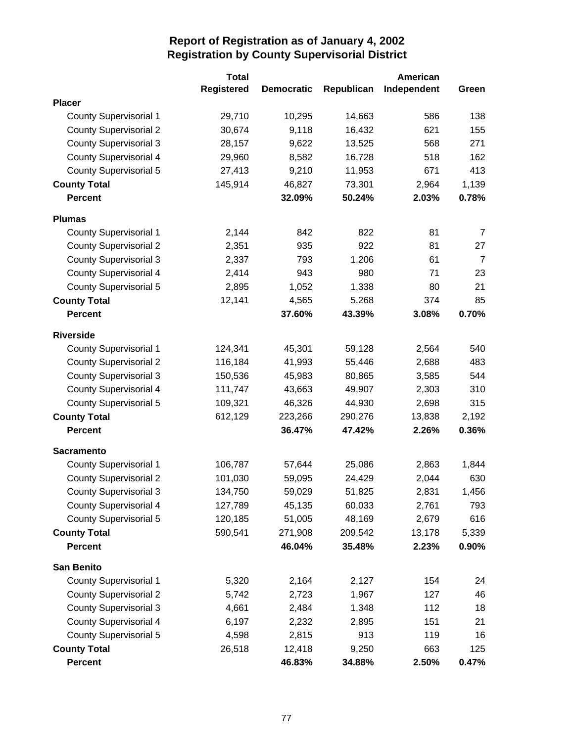|                               | <b>Total</b>      |                   |            | <b>American</b> |                |
|-------------------------------|-------------------|-------------------|------------|-----------------|----------------|
|                               | <b>Registered</b> | <b>Democratic</b> | Republican | Independent     | Green          |
| <b>Placer</b>                 |                   |                   |            |                 |                |
| <b>County Supervisorial 1</b> | 29,710            | 10,295            | 14,663     | 586             | 138            |
| <b>County Supervisorial 2</b> | 30,674            | 9,118             | 16,432     | 621             | 155            |
| <b>County Supervisorial 3</b> | 28,157            | 9,622             | 13,525     | 568             | 271            |
| <b>County Supervisorial 4</b> | 29,960            | 8,582             | 16,728     | 518             | 162            |
| <b>County Supervisorial 5</b> | 27,413            | 9,210             | 11,953     | 671             | 413            |
| <b>County Total</b>           | 145,914           | 46,827            | 73,301     | 2,964           | 1,139          |
| <b>Percent</b>                |                   | 32.09%            | 50.24%     | 2.03%           | 0.78%          |
| <b>Plumas</b>                 |                   |                   |            |                 |                |
| <b>County Supervisorial 1</b> | 2,144             | 842               | 822        | 81              | 7              |
| <b>County Supervisorial 2</b> | 2,351             | 935               | 922        | 81              | 27             |
| <b>County Supervisorial 3</b> | 2,337             | 793               | 1,206      | 61              | $\overline{7}$ |
| <b>County Supervisorial 4</b> | 2,414             | 943               | 980        | 71              | 23             |
| <b>County Supervisorial 5</b> | 2,895             | 1,052             | 1,338      | 80              | 21             |
| <b>County Total</b>           | 12,141            | 4,565             | 5,268      | 374             | 85             |
| <b>Percent</b>                |                   | 37.60%            | 43.39%     | 3.08%           | 0.70%          |
| <b>Riverside</b>              |                   |                   |            |                 |                |
| <b>County Supervisorial 1</b> | 124,341           | 45,301            | 59,128     | 2,564           | 540            |
| <b>County Supervisorial 2</b> | 116,184           | 41,993            | 55,446     | 2,688           | 483            |
| <b>County Supervisorial 3</b> | 150,536           | 45,983            | 80,865     | 3,585           | 544            |
| <b>County Supervisorial 4</b> | 111,747           | 43,663            | 49,907     | 2,303           | 310            |
| <b>County Supervisorial 5</b> | 109,321           | 46,326            | 44,930     | 2,698           | 315            |
| <b>County Total</b>           | 612,129           | 223,266           | 290,276    | 13,838          | 2,192          |
| <b>Percent</b>                |                   | 36.47%            | 47.42%     | 2.26%           | 0.36%          |
| <b>Sacramento</b>             |                   |                   |            |                 |                |
| <b>County Supervisorial 1</b> | 106,787           | 57,644            | 25,086     | 2,863           | 1,844          |
| <b>County Supervisorial 2</b> | 101,030           | 59,095            | 24,429     | 2,044           | 630            |
| <b>County Supervisorial 3</b> | 134,750           | 59,029            | 51,825     | 2,831           | 1,456          |
| <b>County Supervisorial 4</b> | 127,789           | 45,135            | 60,033     | 2,761           | 793            |
| <b>County Supervisorial 5</b> | 120,185           | 51,005            | 48,169     | 2,679           | 616            |
| <b>County Total</b>           | 590,541           | 271,908           | 209,542    | 13,178          | 5,339          |
| <b>Percent</b>                |                   | 46.04%            | 35.48%     | 2.23%           | 0.90%          |
| <b>San Benito</b>             |                   |                   |            |                 |                |
| <b>County Supervisorial 1</b> | 5,320             | 2,164             | 2,127      | 154             | 24             |
| <b>County Supervisorial 2</b> | 5,742             | 2,723             | 1,967      | 127             | 46             |
| <b>County Supervisorial 3</b> | 4,661             | 2,484             | 1,348      | 112             | 18             |
| <b>County Supervisorial 4</b> | 6,197             | 2,232             | 2,895      | 151             | 21             |
| <b>County Supervisorial 5</b> | 4,598             | 2,815             | 913        | 119             | 16             |
| <b>County Total</b>           | 26,518            | 12,418            | 9,250      | 663             | 125            |
| <b>Percent</b>                |                   | 46.83%            | 34.88%     | 2.50%           | 0.47%          |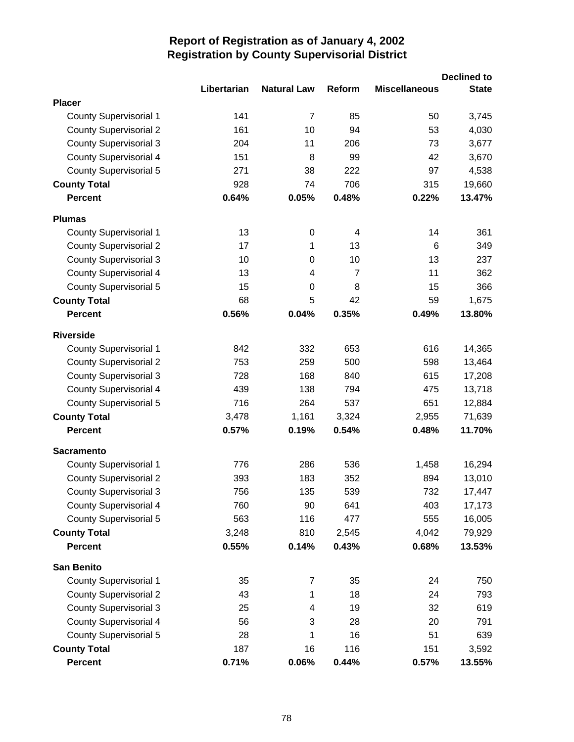|                               |             |                    |                |                      | <b>Declined to</b> |
|-------------------------------|-------------|--------------------|----------------|----------------------|--------------------|
|                               | Libertarian | <b>Natural Law</b> | Reform         | <b>Miscellaneous</b> | <b>State</b>       |
| <b>Placer</b>                 |             |                    |                |                      |                    |
| <b>County Supervisorial 1</b> | 141         | $\overline{7}$     | 85             | 50                   | 3,745              |
| <b>County Supervisorial 2</b> | 161         | 10                 | 94             | 53                   | 4,030              |
| <b>County Supervisorial 3</b> | 204         | 11                 | 206            | 73                   | 3,677              |
| <b>County Supervisorial 4</b> | 151         | 8                  | 99             | 42                   | 3,670              |
| <b>County Supervisorial 5</b> | 271         | 38                 | 222            | 97                   | 4,538              |
| <b>County Total</b>           | 928         | 74                 | 706            | 315                  | 19,660             |
| <b>Percent</b>                | 0.64%       | 0.05%              | 0.48%          | 0.22%                | 13.47%             |
| <b>Plumas</b>                 |             |                    |                |                      |                    |
| <b>County Supervisorial 1</b> | 13          | $\boldsymbol{0}$   | 4              | 14                   | 361                |
| <b>County Supervisorial 2</b> | 17          | 1                  | 13             | 6                    | 349                |
| <b>County Supervisorial 3</b> | 10          | 0                  | 10             | 13                   | 237                |
| <b>County Supervisorial 4</b> | 13          | 4                  | $\overline{7}$ | 11                   | 362                |
| <b>County Supervisorial 5</b> | 15          | $\boldsymbol{0}$   | 8              | 15                   | 366                |
| <b>County Total</b>           | 68          | 5                  | 42             | 59                   | 1,675              |
| <b>Percent</b>                | 0.56%       | 0.04%              | 0.35%          | 0.49%                | 13.80%             |
| <b>Riverside</b>              |             |                    |                |                      |                    |
| <b>County Supervisorial 1</b> | 842         | 332                | 653            | 616                  | 14,365             |
| <b>County Supervisorial 2</b> | 753         | 259                | 500            | 598                  | 13,464             |
| <b>County Supervisorial 3</b> | 728         | 168                | 840            | 615                  | 17,208             |
| <b>County Supervisorial 4</b> | 439         | 138                | 794            | 475                  | 13,718             |
| County Supervisorial 5        | 716         | 264                | 537            | 651                  | 12,884             |
| <b>County Total</b>           | 3,478       | 1,161              | 3,324          | 2,955                | 71,639             |
| <b>Percent</b>                | 0.57%       | 0.19%              | 0.54%          | 0.48%                | 11.70%             |
| <b>Sacramento</b>             |             |                    |                |                      |                    |
| <b>County Supervisorial 1</b> | 776         | 286                | 536            | 1,458                | 16,294             |
| <b>County Supervisorial 2</b> | 393         | 183                | 352            | 894                  | 13,010             |
| <b>County Supervisorial 3</b> | 756         | 135                | 539            | 732                  | 17,447             |
| <b>County Supervisorial 4</b> | 760         | 90                 | 641            | 403                  | 17,173             |
| <b>County Supervisorial 5</b> | 563         | 116                | 477            | 555                  | 16,005             |
| <b>County Total</b>           | 3,248       | 810                | 2,545          | 4,042                | 79,929             |
| <b>Percent</b>                | 0.55%       | 0.14%              | 0.43%          | 0.68%                | 13.53%             |
| <b>San Benito</b>             |             |                    |                |                      |                    |
| <b>County Supervisorial 1</b> | 35          | 7                  | 35             | 24                   | 750                |
| <b>County Supervisorial 2</b> | 43          | 1                  | 18             | 24                   | 793                |
| <b>County Supervisorial 3</b> | 25          | 4                  | 19             | 32                   | 619                |
| <b>County Supervisorial 4</b> | 56          | 3                  | 28             | 20                   | 791                |
| <b>County Supervisorial 5</b> | 28          | 1                  | 16             | 51                   | 639                |
| <b>County Total</b>           | 187         | 16                 | 116            | 151                  | 3,592              |
| <b>Percent</b>                | 0.71%       | 0.06%              | 0.44%          | 0.57%                | 13.55%             |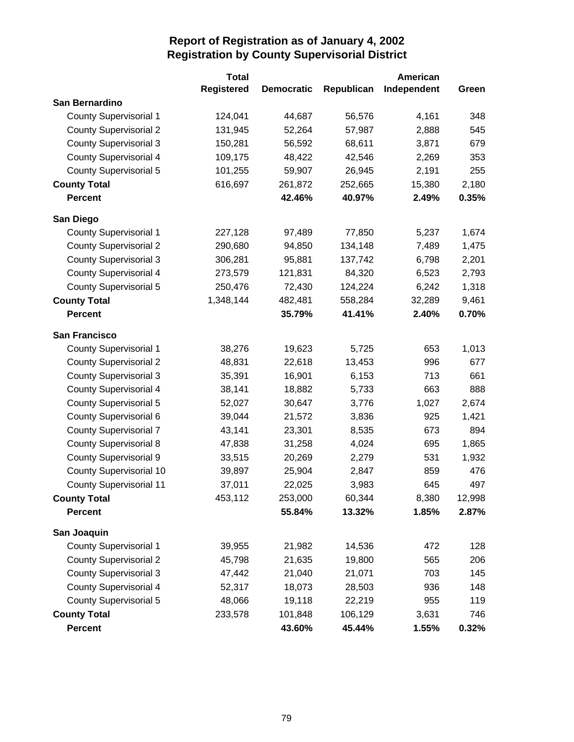|                                | <b>Total</b>      |                   |            | <b>American</b> |        |
|--------------------------------|-------------------|-------------------|------------|-----------------|--------|
|                                | <b>Registered</b> | <b>Democratic</b> | Republican | Independent     | Green  |
| San Bernardino                 |                   |                   |            |                 |        |
| <b>County Supervisorial 1</b>  | 124,041           | 44,687            | 56,576     | 4,161           | 348    |
| <b>County Supervisorial 2</b>  | 131,945           | 52,264            | 57,987     | 2,888           | 545    |
| <b>County Supervisorial 3</b>  | 150,281           | 56,592            | 68,611     | 3,871           | 679    |
| <b>County Supervisorial 4</b>  | 109,175           | 48,422            | 42,546     | 2,269           | 353    |
| <b>County Supervisorial 5</b>  | 101,255           | 59,907            | 26,945     | 2,191           | 255    |
| <b>County Total</b>            | 616,697           | 261,872           | 252,665    | 15,380          | 2,180  |
| <b>Percent</b>                 |                   | 42.46%            | 40.97%     | 2.49%           | 0.35%  |
| San Diego                      |                   |                   |            |                 |        |
| <b>County Supervisorial 1</b>  | 227,128           | 97,489            | 77,850     | 5,237           | 1,674  |
| <b>County Supervisorial 2</b>  | 290,680           | 94,850            | 134,148    | 7,489           | 1,475  |
| <b>County Supervisorial 3</b>  | 306,281           | 95,881            | 137,742    | 6,798           | 2,201  |
| <b>County Supervisorial 4</b>  | 273,579           | 121,831           | 84,320     | 6,523           | 2,793  |
| <b>County Supervisorial 5</b>  | 250,476           | 72,430            | 124,224    | 6,242           | 1,318  |
| <b>County Total</b>            | 1,348,144         | 482,481           | 558,284    | 32,289          | 9,461  |
| <b>Percent</b>                 |                   | 35.79%            | 41.41%     | 2.40%           | 0.70%  |
| <b>San Francisco</b>           |                   |                   |            |                 |        |
| <b>County Supervisorial 1</b>  | 38,276            | 19,623            | 5,725      | 653             | 1,013  |
| <b>County Supervisorial 2</b>  | 48,831            | 22,618            | 13,453     | 996             | 677    |
| <b>County Supervisorial 3</b>  | 35,391            | 16,901            | 6,153      | 713             | 661    |
| <b>County Supervisorial 4</b>  | 38,141            | 18,882            | 5,733      | 663             | 888    |
| <b>County Supervisorial 5</b>  | 52,027            | 30,647            | 3,776      | 1,027           | 2,674  |
| <b>County Supervisorial 6</b>  | 39,044            | 21,572            | 3,836      | 925             | 1,421  |
| <b>County Supervisorial 7</b>  | 43,141            | 23,301            | 8,535      | 673             | 894    |
| <b>County Supervisorial 8</b>  | 47,838            | 31,258            | 4,024      | 695             | 1,865  |
| <b>County Supervisorial 9</b>  | 33,515            | 20,269            | 2,279      | 531             | 1,932  |
| <b>County Supervisorial 10</b> | 39,897            | 25,904            | 2,847      | 859             | 476    |
| <b>County Supervisorial 11</b> | 37,011            | 22,025            | 3,983      | 645             | 497    |
| <b>County Total</b>            | 453,112           | 253,000           | 60,344     | 8,380           | 12,998 |
| Percent                        |                   | 55.84%            | 13.32%     | 1.85%           | 2.87%  |
| San Joaquin                    |                   |                   |            |                 |        |
| <b>County Supervisorial 1</b>  | 39,955            | 21,982            | 14,536     | 472             | 128    |
| <b>County Supervisorial 2</b>  | 45,798            | 21,635            | 19,800     | 565             | 206    |
| <b>County Supervisorial 3</b>  | 47,442            | 21,040            | 21,071     | 703             | 145    |
| <b>County Supervisorial 4</b>  | 52,317            | 18,073            | 28,503     | 936             | 148    |
| <b>County Supervisorial 5</b>  | 48,066            | 19,118            | 22,219     | 955             | 119    |
| <b>County Total</b>            | 233,578           | 101,848           | 106,129    | 3,631           | 746    |
| <b>Percent</b>                 |                   | 43.60%            | 45.44%     | 1.55%           | 0.32%  |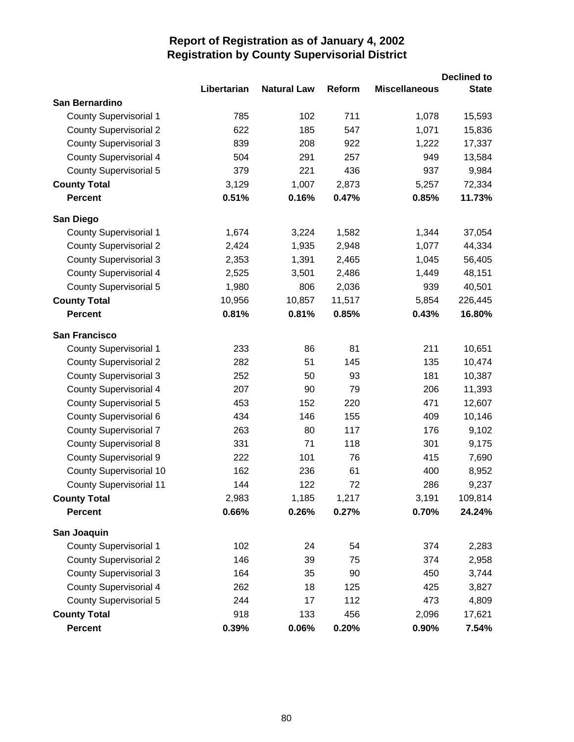|                                |             |                    |        |                      | <b>Declined to</b> |
|--------------------------------|-------------|--------------------|--------|----------------------|--------------------|
|                                | Libertarian | <b>Natural Law</b> | Reform | <b>Miscellaneous</b> | <b>State</b>       |
| San Bernardino                 |             |                    |        |                      |                    |
| <b>County Supervisorial 1</b>  | 785         | 102                | 711    | 1,078                | 15,593             |
| <b>County Supervisorial 2</b>  | 622         | 185                | 547    | 1,071                | 15,836             |
| <b>County Supervisorial 3</b>  | 839         | 208                | 922    | 1,222                | 17,337             |
| <b>County Supervisorial 4</b>  | 504         | 291                | 257    | 949                  | 13,584             |
| County Supervisorial 5         | 379         | 221                | 436    | 937                  | 9,984              |
| <b>County Total</b>            | 3,129       | 1,007              | 2,873  | 5,257                | 72,334             |
| <b>Percent</b>                 | 0.51%       | 0.16%              | 0.47%  | 0.85%                | 11.73%             |
| San Diego                      |             |                    |        |                      |                    |
| <b>County Supervisorial 1</b>  | 1,674       | 3,224              | 1,582  | 1,344                | 37,054             |
| <b>County Supervisorial 2</b>  | 2,424       | 1,935              | 2,948  | 1,077                | 44,334             |
| <b>County Supervisorial 3</b>  | 2,353       | 1,391              | 2,465  | 1,045                | 56,405             |
| <b>County Supervisorial 4</b>  | 2,525       | 3,501              | 2,486  | 1,449                | 48,151             |
| County Supervisorial 5         | 1,980       | 806                | 2,036  | 939                  | 40,501             |
| <b>County Total</b>            | 10,956      | 10,857             | 11,517 | 5,854                | 226,445            |
| <b>Percent</b>                 | 0.81%       | 0.81%              | 0.85%  | 0.43%                | 16.80%             |
| <b>San Francisco</b>           |             |                    |        |                      |                    |
| <b>County Supervisorial 1</b>  | 233         | 86                 | 81     | 211                  | 10,651             |
| <b>County Supervisorial 2</b>  | 282         | 51                 | 145    | 135                  | 10,474             |
| <b>County Supervisorial 3</b>  | 252         | 50                 | 93     | 181                  | 10,387             |
| <b>County Supervisorial 4</b>  | 207         | 90                 | 79     | 206                  | 11,393             |
| <b>County Supervisorial 5</b>  | 453         | 152                | 220    | 471                  | 12,607             |
| County Supervisorial 6         | 434         | 146                | 155    | 409                  | 10,146             |
| <b>County Supervisorial 7</b>  | 263         | 80                 | 117    | 176                  | 9,102              |
| <b>County Supervisorial 8</b>  | 331         | 71                 | 118    | 301                  | 9,175              |
| <b>County Supervisorial 9</b>  | 222         | 101                | 76     | 415                  | 7,690              |
| <b>County Supervisorial 10</b> | 162         | 236                | 61     | 400                  | 8,952              |
| <b>County Supervisorial 11</b> | 144         | 122                | 72     | 286                  | 9,237              |
| <b>County Total</b>            | 2,983       | 1,185              | 1,217  | 3,191                | 109,814            |
| <b>Percent</b>                 | 0.66%       | 0.26%              | 0.27%  | 0.70%                | 24.24%             |
| San Joaquin                    |             |                    |        |                      |                    |
| <b>County Supervisorial 1</b>  | 102         | 24                 | 54     | 374                  | 2,283              |
| <b>County Supervisorial 2</b>  | 146         | 39                 | 75     | 374                  | 2,958              |
| <b>County Supervisorial 3</b>  | 164         | 35                 | 90     | 450                  | 3,744              |
| <b>County Supervisorial 4</b>  | 262         | 18                 | 125    | 425                  | 3,827              |
| County Supervisorial 5         | 244         | 17                 | 112    | 473                  | 4,809              |
| <b>County Total</b>            | 918         | 133                | 456    | 2,096                | 17,621             |
| Percent                        | 0.39%       | 0.06%              | 0.20%  | 0.90%                | 7.54%              |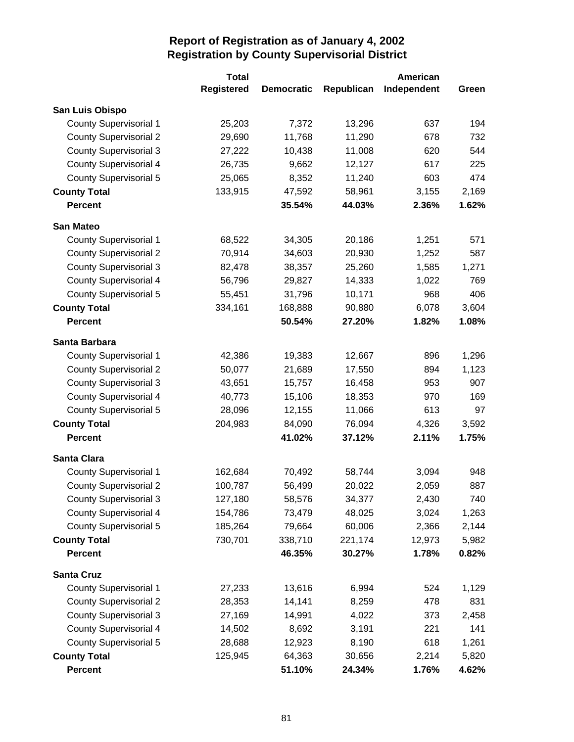|                               | <b>Total</b>      |                   |            | American    |       |
|-------------------------------|-------------------|-------------------|------------|-------------|-------|
|                               | <b>Registered</b> | <b>Democratic</b> | Republican | Independent | Green |
| San Luis Obispo               |                   |                   |            |             |       |
| <b>County Supervisorial 1</b> | 25,203            | 7,372             | 13,296     | 637         | 194   |
| <b>County Supervisorial 2</b> | 29,690            | 11,768            | 11,290     | 678         | 732   |
| <b>County Supervisorial 3</b> | 27,222            | 10,438            | 11,008     | 620         | 544   |
| <b>County Supervisorial 4</b> | 26,735            | 9,662             | 12,127     | 617         | 225   |
| <b>County Supervisorial 5</b> | 25,065            | 8,352             | 11,240     | 603         | 474   |
| <b>County Total</b>           | 133,915           | 47,592            | 58,961     | 3,155       | 2,169 |
| <b>Percent</b>                |                   | 35.54%            | 44.03%     | 2.36%       | 1.62% |
| <b>San Mateo</b>              |                   |                   |            |             |       |
| <b>County Supervisorial 1</b> | 68,522            | 34,305            | 20,186     | 1,251       | 571   |
| <b>County Supervisorial 2</b> | 70,914            | 34,603            | 20,930     | 1,252       | 587   |
| <b>County Supervisorial 3</b> | 82,478            | 38,357            | 25,260     | 1,585       | 1,271 |
| <b>County Supervisorial 4</b> | 56,796            | 29,827            | 14,333     | 1,022       | 769   |
| <b>County Supervisorial 5</b> | 55,451            | 31,796            | 10,171     | 968         | 406   |
| <b>County Total</b>           | 334,161           | 168,888           | 90,880     | 6,078       | 3,604 |
| <b>Percent</b>                |                   | 50.54%            | 27.20%     | 1.82%       | 1.08% |
| Santa Barbara                 |                   |                   |            |             |       |
| <b>County Supervisorial 1</b> | 42,386            | 19,383            | 12,667     | 896         | 1,296 |
| <b>County Supervisorial 2</b> | 50,077            | 21,689            | 17,550     | 894         | 1,123 |
| <b>County Supervisorial 3</b> | 43,651            | 15,757            | 16,458     | 953         | 907   |
| <b>County Supervisorial 4</b> | 40,773            | 15,106            | 18,353     | 970         | 169   |
| County Supervisorial 5        | 28,096            | 12,155            | 11,066     | 613         | 97    |
| <b>County Total</b>           | 204,983           | 84,090            | 76,094     | 4,326       | 3,592 |
| <b>Percent</b>                |                   | 41.02%            | 37.12%     | 2.11%       | 1.75% |
| <b>Santa Clara</b>            |                   |                   |            |             |       |
| <b>County Supervisorial 1</b> | 162,684           | 70,492            | 58,744     | 3,094       | 948   |
| <b>County Supervisorial 2</b> | 100,787           | 56,499            | 20,022     | 2,059       | 887   |
| <b>County Supervisorial 3</b> | 127,180           | 58,576            | 34,377     | 2,430       | 740   |
| <b>County Supervisorial 4</b> | 154,786           | 73,479            | 48,025     | 3,024       | 1,263 |
| <b>County Supervisorial 5</b> | 185,264           | 79,664            | 60,006     | 2,366       | 2,144 |
| <b>County Total</b>           | 730,701           | 338,710           | 221,174    | 12,973      | 5,982 |
| <b>Percent</b>                |                   | 46.35%            | 30.27%     | 1.78%       | 0.82% |
| <b>Santa Cruz</b>             |                   |                   |            |             |       |
| <b>County Supervisorial 1</b> | 27,233            | 13,616            | 6,994      | 524         | 1,129 |
| <b>County Supervisorial 2</b> | 28,353            | 14,141            | 8,259      | 478         | 831   |
| <b>County Supervisorial 3</b> | 27,169            | 14,991            | 4,022      | 373         | 2,458 |
| <b>County Supervisorial 4</b> | 14,502            | 8,692             | 3,191      | 221         | 141   |
| County Supervisorial 5        | 28,688            | 12,923            | 8,190      | 618         | 1,261 |
| <b>County Total</b>           | 125,945           | 64,363            | 30,656     | 2,214       | 5,820 |
| <b>Percent</b>                |                   | 51.10%            | 24.34%     | 1.76%       | 4.62% |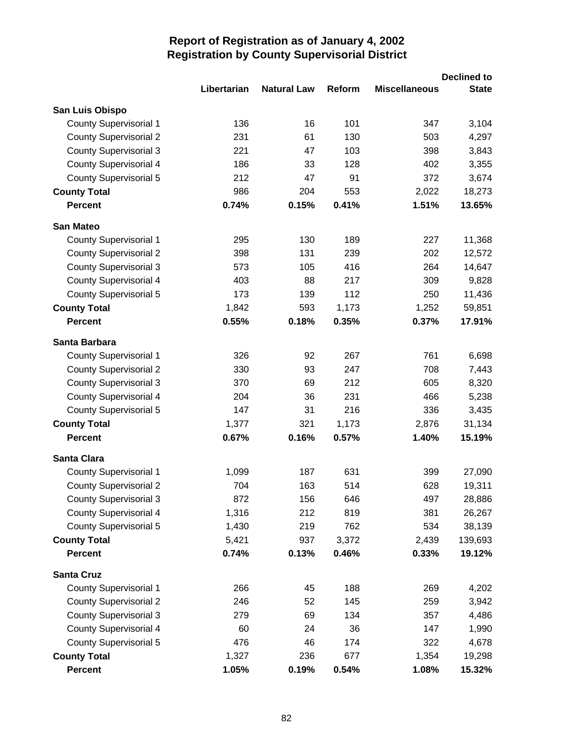|                               |             |                    |        |                      | <b>Declined to</b> |
|-------------------------------|-------------|--------------------|--------|----------------------|--------------------|
|                               | Libertarian | <b>Natural Law</b> | Reform | <b>Miscellaneous</b> | <b>State</b>       |
| San Luis Obispo               |             |                    |        |                      |                    |
| <b>County Supervisorial 1</b> | 136         | 16                 | 101    | 347                  | 3,104              |
| <b>County Supervisorial 2</b> | 231         | 61                 | 130    | 503                  | 4,297              |
| <b>County Supervisorial 3</b> | 221         | 47                 | 103    | 398                  | 3,843              |
| <b>County Supervisorial 4</b> | 186         | 33                 | 128    | 402                  | 3,355              |
| County Supervisorial 5        | 212         | 47                 | 91     | 372                  | 3,674              |
| <b>County Total</b>           | 986         | 204                | 553    | 2,022                | 18,273             |
| <b>Percent</b>                | 0.74%       | 0.15%              | 0.41%  | 1.51%                | 13.65%             |
| <b>San Mateo</b>              |             |                    |        |                      |                    |
| <b>County Supervisorial 1</b> | 295         | 130                | 189    | 227                  | 11,368             |
| <b>County Supervisorial 2</b> | 398         | 131                | 239    | 202                  | 12,572             |
| <b>County Supervisorial 3</b> | 573         | 105                | 416    | 264                  | 14,647             |
| <b>County Supervisorial 4</b> | 403         | 88                 | 217    | 309                  | 9,828              |
| County Supervisorial 5        | 173         | 139                | 112    | 250                  | 11,436             |
| <b>County Total</b>           | 1,842       | 593                | 1,173  | 1,252                | 59,851             |
| <b>Percent</b>                | 0.55%       | 0.18%              | 0.35%  | 0.37%                | 17.91%             |
| Santa Barbara                 |             |                    |        |                      |                    |
| <b>County Supervisorial 1</b> | 326         | 92                 | 267    | 761                  | 6,698              |
| <b>County Supervisorial 2</b> | 330         | 93                 | 247    | 708                  | 7,443              |
| <b>County Supervisorial 3</b> | 370         | 69                 | 212    | 605                  | 8,320              |
| County Supervisorial 4        | 204         | 36                 | 231    | 466                  | 5,238              |
| <b>County Supervisorial 5</b> | 147         | 31                 | 216    | 336                  | 3,435              |
| <b>County Total</b>           | 1,377       | 321                | 1,173  | 2,876                | 31,134             |
| <b>Percent</b>                | 0.67%       | 0.16%              | 0.57%  | 1.40%                | 15.19%             |
| <b>Santa Clara</b>            |             |                    |        |                      |                    |
| <b>County Supervisorial 1</b> | 1,099       | 187                | 631    | 399                  | 27,090             |
| <b>County Supervisorial 2</b> | 704         | 163                | 514    | 628                  | 19,311             |
| <b>County Supervisorial 3</b> | 872         | 156                | 646    | 497                  | 28,886             |
| <b>County Supervisorial 4</b> | 1,316       | 212                | 819    | 381                  | 26,267             |
| County Supervisorial 5        | 1,430       | 219                | 762    | 534                  | 38,139             |
| <b>County Total</b>           | 5,421       | 937                | 3,372  | 2,439                | 139,693            |
| <b>Percent</b>                | 0.74%       | 0.13%              | 0.46%  | 0.33%                | 19.12%             |
| <b>Santa Cruz</b>             |             |                    |        |                      |                    |
| County Supervisorial 1        | 266         | 45                 | 188    | 269                  | 4,202              |
| <b>County Supervisorial 2</b> | 246         | 52                 | 145    | 259                  | 3,942              |
| <b>County Supervisorial 3</b> | 279         | 69                 | 134    | 357                  | 4,486              |
| <b>County Supervisorial 4</b> | 60          | 24                 | 36     | 147                  | 1,990              |
| County Supervisorial 5        | 476         | 46                 | 174    | 322                  | 4,678              |
| <b>County Total</b>           | 1,327       | 236                | 677    | 1,354                | 19,298             |
| Percent                       | 1.05%       | 0.19%              | 0.54%  | 1.08%                | 15.32%             |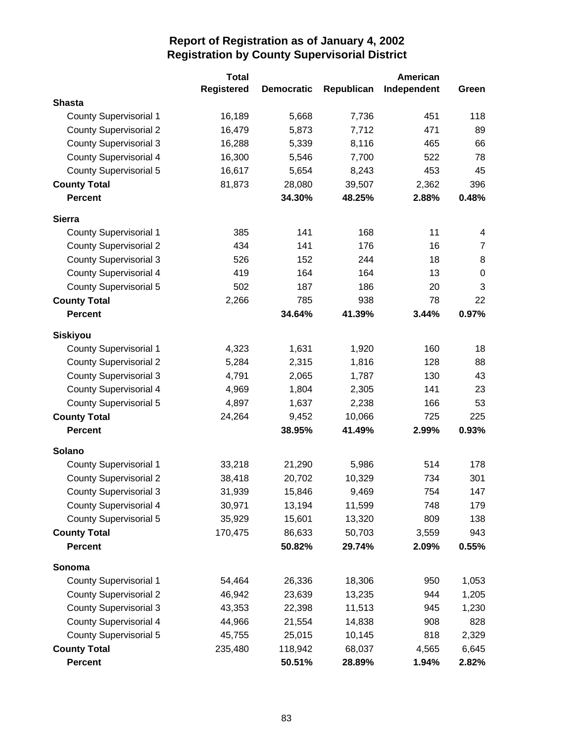|                               | <b>Total</b>      |                   |            | American    |                  |
|-------------------------------|-------------------|-------------------|------------|-------------|------------------|
|                               | <b>Registered</b> | <b>Democratic</b> | Republican | Independent | Green            |
| <b>Shasta</b>                 |                   |                   |            |             |                  |
| <b>County Supervisorial 1</b> | 16,189            | 5,668             | 7,736      | 451         | 118              |
| <b>County Supervisorial 2</b> | 16,479            | 5,873             | 7,712      | 471         | 89               |
| <b>County Supervisorial 3</b> | 16,288            | 5,339             | 8,116      | 465         | 66               |
| <b>County Supervisorial 4</b> | 16,300            | 5,546             | 7,700      | 522         | 78               |
| <b>County Supervisorial 5</b> | 16,617            | 5,654             | 8,243      | 453         | 45               |
| <b>County Total</b>           | 81,873            | 28,080            | 39,507     | 2,362       | 396              |
| <b>Percent</b>                |                   | 34.30%            | 48.25%     | 2.88%       | 0.48%            |
| <b>Sierra</b>                 |                   |                   |            |             |                  |
| <b>County Supervisorial 1</b> | 385               | 141               | 168        | 11          | 4                |
| <b>County Supervisorial 2</b> | 434               | 141               | 176        | 16          | $\overline{7}$   |
| <b>County Supervisorial 3</b> | 526               | 152               | 244        | 18          | 8                |
| <b>County Supervisorial 4</b> | 419               | 164               | 164        | 13          | $\boldsymbol{0}$ |
| <b>County Supervisorial 5</b> | 502               | 187               | 186        | 20          | 3                |
| <b>County Total</b>           | 2,266             | 785               | 938        | 78          | 22               |
| <b>Percent</b>                |                   | 34.64%            | 41.39%     | 3.44%       | 0.97%            |
| <b>Siskiyou</b>               |                   |                   |            |             |                  |
| <b>County Supervisorial 1</b> | 4,323             | 1,631             | 1,920      | 160         | 18               |
| <b>County Supervisorial 2</b> | 5,284             | 2,315             | 1,816      | 128         | 88               |
| <b>County Supervisorial 3</b> | 4,791             | 2,065             | 1,787      | 130         | 43               |
| <b>County Supervisorial 4</b> | 4,969             | 1,804             | 2,305      | 141         | 23               |
| <b>County Supervisorial 5</b> | 4,897             | 1,637             | 2,238      | 166         | 53               |
| <b>County Total</b>           | 24,264            | 9,452             | 10,066     | 725         | 225              |
| <b>Percent</b>                |                   | 38.95%            | 41.49%     | 2.99%       | 0.93%            |
| Solano                        |                   |                   |            |             |                  |
| <b>County Supervisorial 1</b> | 33,218            | 21,290            | 5,986      | 514         | 178              |
| <b>County Supervisorial 2</b> | 38,418            | 20,702            | 10,329     | 734         | 301              |
| <b>County Supervisorial 3</b> | 31,939            | 15,846            | 9,469      | 754         | 147              |
| <b>County Supervisorial 4</b> | 30,971            | 13,194            | 11,599     | 748         | 179              |
| County Supervisorial 5        | 35,929            | 15,601            | 13,320     | 809         | 138              |
| <b>County Total</b>           | 170,475           | 86,633            | 50,703     | 3,559       | 943              |
| <b>Percent</b>                |                   | 50.82%            | 29.74%     | 2.09%       | 0.55%            |
| Sonoma                        |                   |                   |            |             |                  |
| County Supervisorial 1        | 54,464            | 26,336            | 18,306     | 950         | 1,053            |
| <b>County Supervisorial 2</b> | 46,942            | 23,639            | 13,235     | 944         | 1,205            |
| <b>County Supervisorial 3</b> | 43,353            | 22,398            | 11,513     | 945         | 1,230            |
| <b>County Supervisorial 4</b> | 44,966            | 21,554            | 14,838     | 908         | 828              |
| <b>County Supervisorial 5</b> | 45,755            | 25,015            | 10,145     | 818         | 2,329            |
| <b>County Total</b>           | 235,480           | 118,942           | 68,037     | 4,565       | 6,645            |
| <b>Percent</b>                |                   | 50.51%            | 28.89%     | 1.94%       | 2.82%            |
|                               |                   |                   |            |             |                  |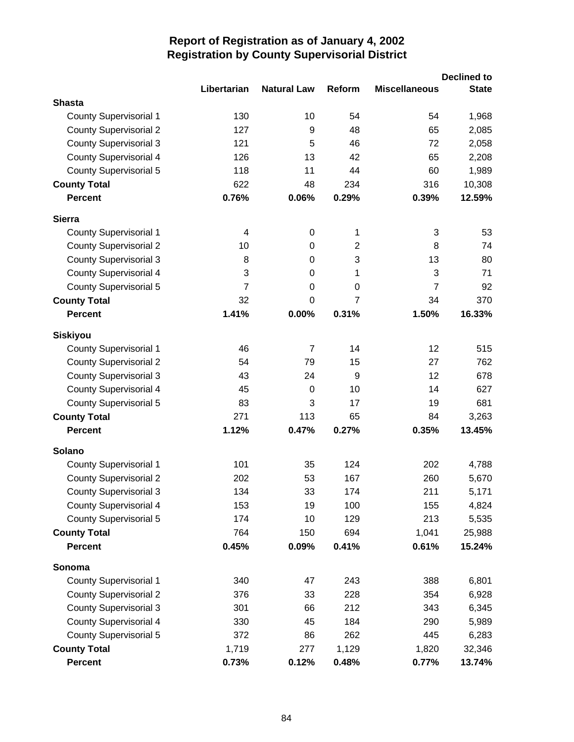|                               | Libertarian    | <b>Natural Law</b> | Reform         | <b>Miscellaneous</b> | <b>Declined to</b><br><b>State</b> |
|-------------------------------|----------------|--------------------|----------------|----------------------|------------------------------------|
| <b>Shasta</b>                 |                |                    |                |                      |                                    |
| <b>County Supervisorial 1</b> | 130            | 10                 | 54             | 54                   | 1,968                              |
| <b>County Supervisorial 2</b> | 127            | 9                  | 48             | 65                   | 2,085                              |
| <b>County Supervisorial 3</b> | 121            | 5                  | 46             | 72                   | 2,058                              |
| <b>County Supervisorial 4</b> | 126            | 13                 | 42             | 65                   | 2,208                              |
| <b>County Supervisorial 5</b> | 118            | 11                 | 44             | 60                   | 1,989                              |
| <b>County Total</b>           | 622            | 48                 | 234            | 316                  | 10,308                             |
| <b>Percent</b>                | 0.76%          | 0.06%              | 0.29%          | 0.39%                | 12.59%                             |
| <b>Sierra</b>                 |                |                    |                |                      |                                    |
| <b>County Supervisorial 1</b> | 4              | $\boldsymbol{0}$   | 1              | 3                    | 53                                 |
| <b>County Supervisorial 2</b> | 10             | 0                  | $\overline{2}$ | 8                    | 74                                 |
| <b>County Supervisorial 3</b> | 8              | 0                  | 3              | 13                   | 80                                 |
| <b>County Supervisorial 4</b> | 3              | 0                  | 1              | 3                    | 71                                 |
| <b>County Supervisorial 5</b> | $\overline{7}$ | 0                  | 0              | $\overline{7}$       | 92                                 |
| <b>County Total</b>           | 32             | $\overline{0}$     | $\overline{7}$ | 34                   | 370                                |
| <b>Percent</b>                | 1.41%          | 0.00%              | 0.31%          | 1.50%                | 16.33%                             |
| <b>Siskiyou</b>               |                |                    |                |                      |                                    |
| <b>County Supervisorial 1</b> | 46             | $\overline{7}$     | 14             | 12                   | 515                                |
| <b>County Supervisorial 2</b> | 54             | 79                 | 15             | 27                   | 762                                |
| <b>County Supervisorial 3</b> | 43             | 24                 | 9              | 12                   | 678                                |
| <b>County Supervisorial 4</b> | 45             | 0                  | 10             | 14                   | 627                                |
| <b>County Supervisorial 5</b> | 83             | 3                  | 17             | 19                   | 681                                |
| <b>County Total</b>           | 271            | 113                | 65             | 84                   | 3,263                              |
| <b>Percent</b>                | 1.12%          | 0.47%              | 0.27%          | 0.35%                | 13.45%                             |
| Solano                        |                |                    |                |                      |                                    |
| <b>County Supervisorial 1</b> | 101            | 35                 | 124            | 202                  | 4,788                              |
| <b>County Supervisorial 2</b> | 202            | 53                 | 167            | 260                  | 5,670                              |
| <b>County Supervisorial 3</b> | 134            | 33                 | 174            | 211                  | 5,171                              |
| <b>County Supervisorial 4</b> | 153            | 19                 | 100            | 155                  | 4,824                              |
| <b>County Supervisorial 5</b> | 174            | 10                 | 129            | 213                  | 5,535                              |
| <b>County Total</b>           | 764            | 150                | 694            | 1,041                | 25,988                             |
| Percent                       | 0.45%          | 0.09%              | 0.41%          | 0.61%                | 15.24%                             |
| Sonoma                        |                |                    |                |                      |                                    |
| <b>County Supervisorial 1</b> | 340            | 47                 | 243            | 388                  | 6,801                              |
| <b>County Supervisorial 2</b> | 376            | 33                 | 228            | 354                  | 6,928                              |
| <b>County Supervisorial 3</b> | 301            | 66                 | 212            | 343                  | 6,345                              |
| <b>County Supervisorial 4</b> | 330            | 45                 | 184            | 290                  | 5,989                              |
| County Supervisorial 5        | 372            | 86                 | 262            | 445                  | 6,283                              |
| <b>County Total</b>           | 1,719          | 277                | 1,129          | 1,820                | 32,346                             |
| Percent                       | 0.73%          | 0.12%              | 0.48%          | 0.77%                | 13.74%                             |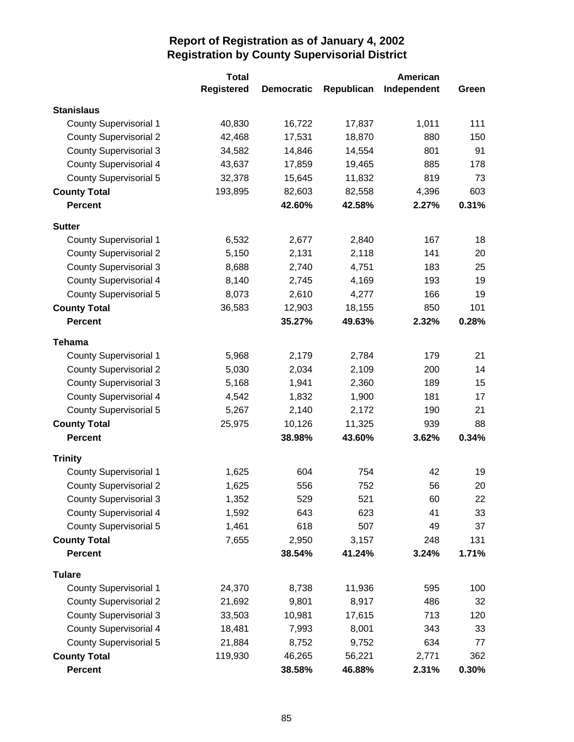|                               | <b>Total</b>      |                   |            | <b>American</b> |       |
|-------------------------------|-------------------|-------------------|------------|-----------------|-------|
|                               | <b>Registered</b> | <b>Democratic</b> | Republican | Independent     | Green |
| <b>Stanislaus</b>             |                   |                   |            |                 |       |
| <b>County Supervisorial 1</b> | 40,830            | 16,722            | 17,837     | 1,011           | 111   |
| <b>County Supervisorial 2</b> | 42,468            | 17,531            | 18,870     | 880             | 150   |
| <b>County Supervisorial 3</b> | 34,582            | 14,846            | 14,554     | 801             | 91    |
| <b>County Supervisorial 4</b> | 43,637            | 17,859            | 19,465     | 885             | 178   |
| <b>County Supervisorial 5</b> | 32,378            | 15,645            | 11,832     | 819             | 73    |
| <b>County Total</b>           | 193,895           | 82,603            | 82,558     | 4,396           | 603   |
| <b>Percent</b>                |                   | 42.60%            | 42.58%     | 2.27%           | 0.31% |
| <b>Sutter</b>                 |                   |                   |            |                 |       |
| <b>County Supervisorial 1</b> | 6,532             | 2,677             | 2,840      | 167             | 18    |
| <b>County Supervisorial 2</b> | 5,150             | 2,131             | 2,118      | 141             | 20    |
| <b>County Supervisorial 3</b> | 8,688             | 2,740             | 4,751      | 183             | 25    |
| <b>County Supervisorial 4</b> | 8,140             | 2,745             | 4,169      | 193             | 19    |
| <b>County Supervisorial 5</b> | 8,073             | 2,610             | 4,277      | 166             | 19    |
| <b>County Total</b>           | 36,583            | 12,903            | 18,155     | 850             | 101   |
| <b>Percent</b>                |                   | 35.27%            | 49.63%     | 2.32%           | 0.28% |
| <b>Tehama</b>                 |                   |                   |            |                 |       |
| <b>County Supervisorial 1</b> | 5,968             | 2,179             | 2,784      | 179             | 21    |
| <b>County Supervisorial 2</b> | 5,030             | 2,034             | 2,109      | 200             | 14    |
| <b>County Supervisorial 3</b> | 5,168             | 1,941             | 2,360      | 189             | 15    |
| <b>County Supervisorial 4</b> | 4,542             | 1,832             | 1,900      | 181             | 17    |
| <b>County Supervisorial 5</b> | 5,267             | 2,140             | 2,172      | 190             | 21    |
| <b>County Total</b>           | 25,975            | 10,126            | 11,325     | 939             | 88    |
| <b>Percent</b>                |                   | 38.98%            | 43.60%     | 3.62%           | 0.34% |
| <b>Trinity</b>                |                   |                   |            |                 |       |
| <b>County Supervisorial 1</b> | 1,625             | 604               | 754        | 42              | 19    |
| <b>County Supervisorial 2</b> | 1,625             | 556               | 752        | 56              | 20    |
| <b>County Supervisorial 3</b> | 1,352             | 529               | 521        | 60              | 22    |
| <b>County Supervisorial 4</b> | 1,592             | 643               | 623        | 41              | 33    |
| <b>County Supervisorial 5</b> | 1,461             | 618               | 507        | 49              | 37    |
| <b>County Total</b>           | 7,655             | 2,950             | 3,157      | 248             | 131   |
| <b>Percent</b>                |                   | 38.54%            | 41.24%     | 3.24%           | 1.71% |
| <b>Tulare</b>                 |                   |                   |            |                 |       |
| <b>County Supervisorial 1</b> | 24,370            | 8,738             | 11,936     | 595             | 100   |
| <b>County Supervisorial 2</b> | 21,692            | 9,801             | 8,917      | 486             | 32    |
| <b>County Supervisorial 3</b> | 33,503            | 10,981            | 17,615     | 713             | 120   |
| <b>County Supervisorial 4</b> | 18,481            | 7,993             | 8,001      | 343             | 33    |
| <b>County Supervisorial 5</b> | 21,884            | 8,752             | 9,752      | 634             | 77    |
| <b>County Total</b>           | 119,930           | 46,265            | 56,221     | 2,771           | 362   |
| <b>Percent</b>                |                   | 38.58%            | 46.88%     | 2.31%           | 0.30% |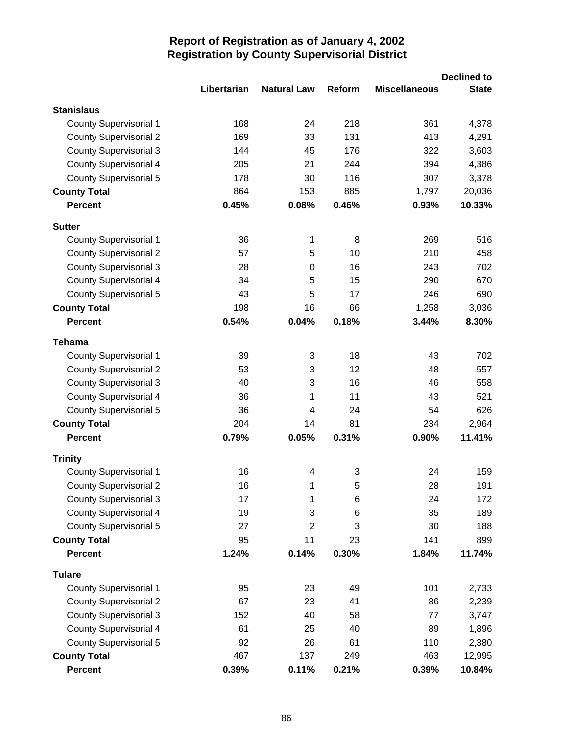|                               |             |                    |        |                      | <b>Declined to</b> |
|-------------------------------|-------------|--------------------|--------|----------------------|--------------------|
|                               | Libertarian | <b>Natural Law</b> | Reform | <b>Miscellaneous</b> | <b>State</b>       |
| <b>Stanislaus</b>             |             |                    |        |                      |                    |
| <b>County Supervisorial 1</b> | 168         | 24                 | 218    | 361                  | 4,378              |
| <b>County Supervisorial 2</b> | 169         | 33                 | 131    | 413                  | 4,291              |
| <b>County Supervisorial 3</b> | 144         | 45                 | 176    | 322                  | 3,603              |
| <b>County Supervisorial 4</b> | 205         | 21                 | 244    | 394                  | 4,386              |
| <b>County Supervisorial 5</b> | 178         | 30                 | 116    | 307                  | 3,378              |
| <b>County Total</b>           | 864         | 153                | 885    | 1,797                | 20,036             |
| <b>Percent</b>                | 0.45%       | 0.08%              | 0.46%  | 0.93%                | 10.33%             |
| <b>Sutter</b>                 |             |                    |        |                      |                    |
| <b>County Supervisorial 1</b> | 36          | 1                  | 8      | 269                  | 516                |
| <b>County Supervisorial 2</b> | 57          | 5                  | 10     | 210                  | 458                |
| <b>County Supervisorial 3</b> | 28          | 0                  | 16     | 243                  | 702                |
| <b>County Supervisorial 4</b> | 34          | 5                  | 15     | 290                  | 670                |
| County Supervisorial 5        | 43          | 5                  | 17     | 246                  | 690                |
| <b>County Total</b>           | 198         | 16                 | 66     | 1,258                | 3,036              |
| <b>Percent</b>                | 0.54%       | 0.04%              | 0.18%  | 3.44%                | 8.30%              |
| <b>Tehama</b>                 |             |                    |        |                      |                    |
| <b>County Supervisorial 1</b> | 39          | 3                  | 18     | 43                   | 702                |
| <b>County Supervisorial 2</b> | 53          | 3                  | 12     | 48                   | 557                |
| <b>County Supervisorial 3</b> | 40          | 3                  | 16     | 46                   | 558                |
| <b>County Supervisorial 4</b> | 36          | 1                  | 11     | 43                   | 521                |
| County Supervisorial 5        | 36          | 4                  | 24     | 54                   | 626                |
| <b>County Total</b>           | 204         | 14                 | 81     | 234                  | 2,964              |
| <b>Percent</b>                | 0.79%       | 0.05%              | 0.31%  | 0.90%                | 11.41%             |
| <b>Trinity</b>                |             |                    |        |                      |                    |
| <b>County Supervisorial 1</b> | 16          | 4                  | 3      | 24                   | 159                |
| <b>County Supervisorial 2</b> | 16          | 1                  | 5      | 28                   | 191                |
| <b>County Supervisorial 3</b> | 17          | 1                  | 6      | 24                   | 172                |
| <b>County Supervisorial 4</b> | 19          | 3                  | 6      | 35                   | 189                |
| County Supervisorial 5        | 27          | $\overline{2}$     | 3      | 30                   | 188                |
| <b>County Total</b>           | 95          | 11                 | 23     | 141                  | 899                |
| <b>Percent</b>                | 1.24%       | 0.14%              | 0.30%  | 1.84%                | 11.74%             |
| <b>Tulare</b>                 |             |                    |        |                      |                    |
| County Supervisorial 1        | 95          | 23                 | 49     | 101                  | 2,733              |
| <b>County Supervisorial 2</b> | 67          | 23                 | 41     | 86                   | 2,239              |
| <b>County Supervisorial 3</b> | 152         | 40                 | 58     | 77                   | 3,747              |
| <b>County Supervisorial 4</b> | 61          | 25                 | 40     | 89                   | 1,896              |
| <b>County Supervisorial 5</b> | 92          | 26                 | 61     | 110                  | 2,380              |
| <b>County Total</b>           | 467         | 137                | 249    | 463                  | 12,995             |
| <b>Percent</b>                | 0.39%       | 0.11%              | 0.21%  | 0.39%                | 10.84%             |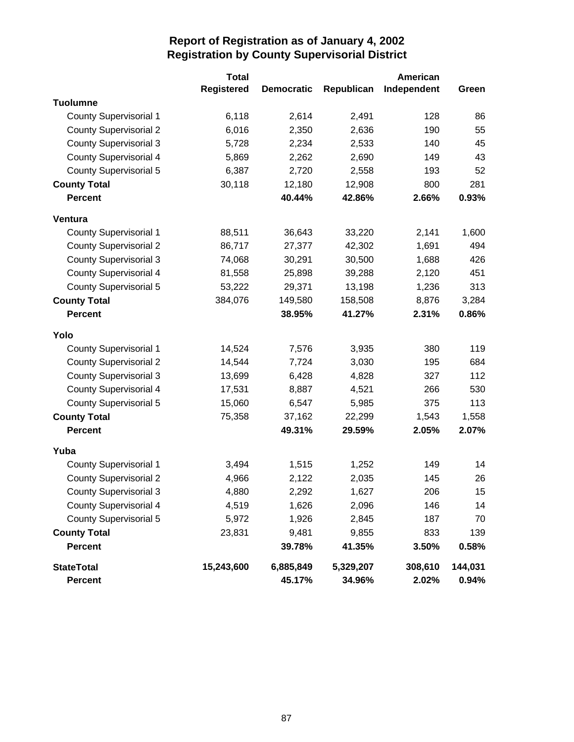|                                     | <b>Total</b> |                     |                     | American         |                  |
|-------------------------------------|--------------|---------------------|---------------------|------------------|------------------|
|                                     | Registered   | <b>Democratic</b>   | Republican          | Independent      | Green            |
| <b>Tuolumne</b>                     |              |                     |                     |                  |                  |
| <b>County Supervisorial 1</b>       | 6,118        | 2,614               | 2,491               | 128              | 86               |
| <b>County Supervisorial 2</b>       | 6,016        | 2,350               | 2,636               | 190              | 55               |
| <b>County Supervisorial 3</b>       | 5,728        | 2,234               | 2,533               | 140              | 45               |
| <b>County Supervisorial 4</b>       | 5,869        | 2,262               | 2,690               | 149              | 43               |
| <b>County Supervisorial 5</b>       | 6,387        | 2,720               | 2,558               | 193              | 52               |
| <b>County Total</b>                 | 30,118       | 12,180              | 12,908              | 800              | 281              |
| <b>Percent</b>                      |              | 40.44%              | 42.86%              | 2.66%            | 0.93%            |
| Ventura                             |              |                     |                     |                  |                  |
| <b>County Supervisorial 1</b>       | 88,511       | 36,643              | 33,220              | 2,141            | 1,600            |
| <b>County Supervisorial 2</b>       | 86,717       | 27,377              | 42,302              | 1,691            | 494              |
| <b>County Supervisorial 3</b>       | 74,068       | 30,291              | 30,500              | 1,688            | 426              |
| <b>County Supervisorial 4</b>       | 81,558       | 25,898              | 39,288              | 2,120            | 451              |
| <b>County Supervisorial 5</b>       | 53,222       | 29,371              | 13,198              | 1,236            | 313              |
| <b>County Total</b>                 | 384,076      | 149,580             | 158,508             | 8,876            | 3,284            |
| <b>Percent</b>                      |              | 38.95%              | 41.27%              | 2.31%            | 0.86%            |
| Yolo                                |              |                     |                     |                  |                  |
| <b>County Supervisorial 1</b>       | 14,524       | 7,576               | 3,935               | 380              | 119              |
| <b>County Supervisorial 2</b>       | 14,544       | 7,724               | 3,030               | 195              | 684              |
| <b>County Supervisorial 3</b>       | 13,699       | 6,428               | 4,828               | 327              | 112              |
| <b>County Supervisorial 4</b>       | 17,531       | 8,887               | 4,521               | 266              | 530              |
| <b>County Supervisorial 5</b>       | 15,060       | 6,547               | 5,985               | 375              | 113              |
| <b>County Total</b>                 | 75,358       | 37,162              | 22,299              | 1,543            | 1,558            |
| <b>Percent</b>                      |              | 49.31%              | 29.59%              | 2.05%            | 2.07%            |
| Yuba                                |              |                     |                     |                  |                  |
| <b>County Supervisorial 1</b>       | 3,494        | 1,515               | 1,252               | 149              | 14               |
| <b>County Supervisorial 2</b>       | 4,966        | 2,122               | 2,035               | 145              | 26               |
| <b>County Supervisorial 3</b>       | 4,880        | 2,292               | 1,627               | 206              | 15               |
| <b>County Supervisorial 4</b>       | 4,519        | 1,626               | 2,096               | 146              | 14               |
| <b>County Supervisorial 5</b>       | 5,972        | 1,926               | 2,845               | 187              | 70               |
| <b>County Total</b>                 | 23,831       | 9,481               | 9,855               | 833              | 139              |
| <b>Percent</b>                      |              | 39.78%              | 41.35%              | 3.50%            | 0.58%            |
| <b>StateTotal</b><br><b>Percent</b> | 15,243,600   | 6,885,849<br>45.17% | 5,329,207<br>34.96% | 308,610<br>2.02% | 144,031<br>0.94% |